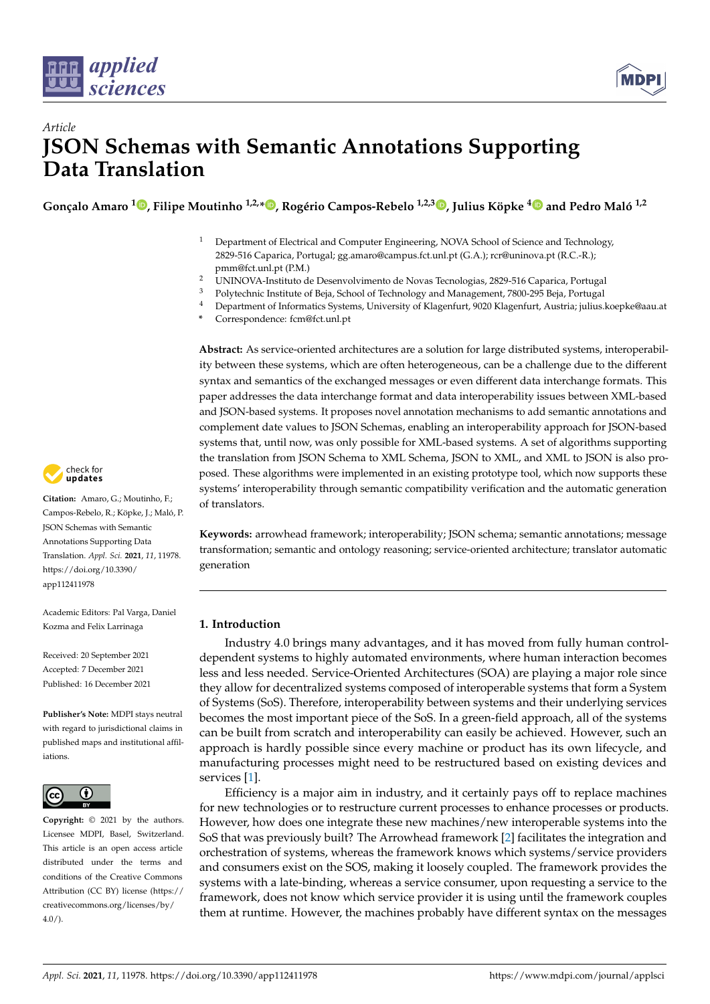



# *Article* **JSON Schemas with Semantic Annotations Supporting Data Translation**

**Gonçalo Amaro <sup>1</sup> [,](https://orcid.org/0000-0002-3911-6831) Filipe Moutinho 1,2,[\\*](https://orcid.org/0000-0002-0930-7418) , Rogério Campos-Rebelo 1,2,[3](https://orcid.org/0000-0001-7177-7966) , Julius Köpke [4](https://orcid.org/0000-0002-6678-5731) and Pedro Maló 1,2**

- <sup>1</sup> Department of Electrical and Computer Engineering, NOVA School of Science and Technology, 2829-516 Caparica, Portugal; gg.amaro@campus.fct.unl.pt (G.A.); rcr@uninova.pt (R.C.-R.); pmm@fct.unl.pt (P.M.)
- <sup>2</sup> UNINOVA-Instituto de Desenvolvimento de Novas Tecnologias, 2829-516 Caparica, Portugal
- <sup>3</sup> Polytechnic Institute of Beja, School of Technology and Management, 7800-295 Beja, Portugal
- <sup>4</sup> Department of Informatics Systems, University of Klagenfurt, 9020 Klagenfurt, Austria; julius.koepke@aau.at
- **\*** Correspondence: fcm@fct.unl.pt

**Abstract:** As service-oriented architectures are a solution for large distributed systems, interoperability between these systems, which are often heterogeneous, can be a challenge due to the different syntax and semantics of the exchanged messages or even different data interchange formats. This paper addresses the data interchange format and data interoperability issues between XML-based and JSON-based systems. It proposes novel annotation mechanisms to add semantic annotations and complement date values to JSON Schemas, enabling an interoperability approach for JSON-based systems that, until now, was only possible for XML-based systems. A set of algorithms supporting the translation from JSON Schema to XML Schema, JSON to XML, and XML to JSON is also proposed. These algorithms were implemented in an existing prototype tool, which now supports these systems' interoperability through semantic compatibility verification and the automatic generation of translators.

**Keywords:** arrowhead framework; interoperability; JSON schema; semantic annotations; message transformation; semantic and ontology reasoning; service-oriented architecture; translator automatic generation

# **1. Introduction**

Industry 4.0 brings many advantages, and it has moved from fully human controldependent systems to highly automated environments, where human interaction becomes less and less needed. Service-Oriented Architectures (SOA) are playing a major role since they allow for decentralized systems composed of interoperable systems that form a System of Systems (SoS). Therefore, interoperability between systems and their underlying services becomes the most important piece of the SoS. In a green-field approach, all of the systems can be built from scratch and interoperability can easily be achieved. However, such an approach is hardly possible since every machine or product has its own lifecycle, and manufacturing processes might need to be restructured based on existing devices and services [\[1\]](#page-20-0).

Efficiency is a major aim in industry, and it certainly pays off to replace machines for new technologies or to restructure current processes to enhance processes or products. However, how does one integrate these new machines/new interoperable systems into the SoS that was previously built? The Arrowhead framework [\[2\]](#page-20-1) facilitates the integration and orchestration of systems, whereas the framework knows which systems/service providers and consumers exist on the SOS, making it loosely coupled. The framework provides the systems with a late-binding, whereas a service consumer, upon requesting a service to the framework, does not know which service provider it is using until the framework couples them at runtime. However, the machines probably have different syntax on the messages



**Citation:** Amaro, G.; Moutinho, F.; Campos-Rebelo, R.; Köpke, J.; Maló, P. JSON Schemas with Semantic Annotations Supporting Data Translation. *Appl. Sci.* **2021**, *11*, 11978. [https://doi.org/10.3390/](https://doi.org/10.3390/app112411978) [app112411978](https://doi.org/10.3390/app112411978)

Academic Editors: Pal Varga, Daniel Kozma and Felix Larrinaga

Received: 20 September 2021 Accepted: 7 December 2021 Published: 16 December 2021

**Publisher's Note:** MDPI stays neutral with regard to jurisdictional claims in published maps and institutional affiliations.



**Copyright:** © 2021 by the authors. Licensee MDPI, Basel, Switzerland. This article is an open access article distributed under the terms and conditions of the Creative Commons Attribution (CC BY) license (https:/[/](https://creativecommons.org/licenses/by/4.0/) [creativecommons.org/licenses/by/](https://creativecommons.org/licenses/by/4.0/)  $4.0/$ ).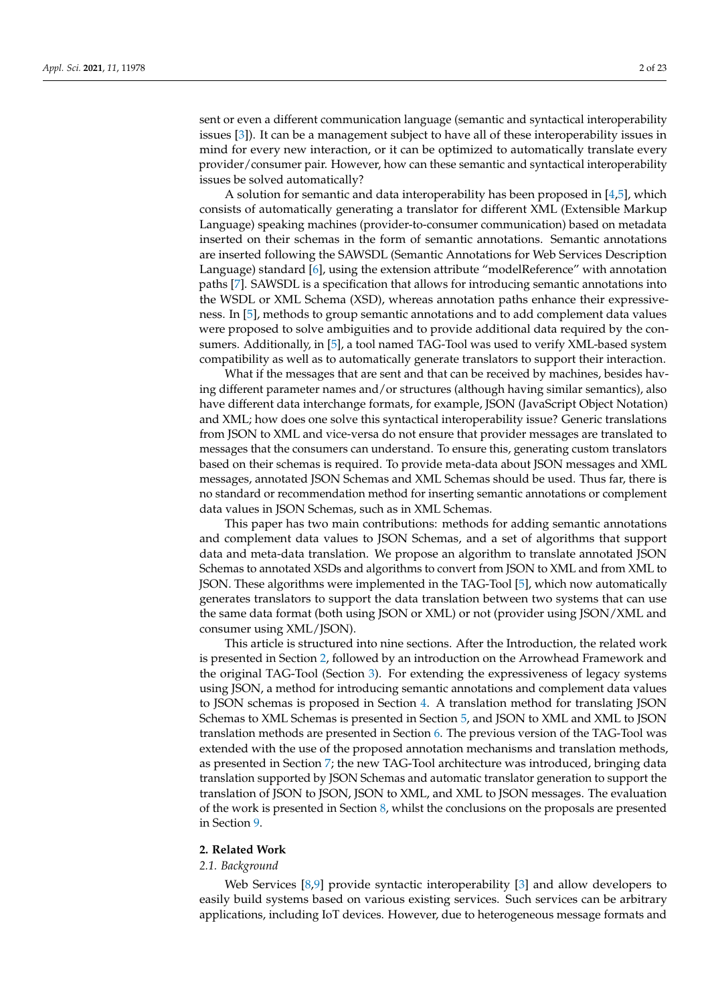sent or even a different communication language (semantic and syntactical interoperability issues [\[3\]](#page-20-2)). It can be a management subject to have all of these interoperability issues in mind for every new interaction, or it can be optimized to automatically translate every provider/consumer pair. However, how can these semantic and syntactical interoperability issues be solved automatically?

A solution for semantic and data interoperability has been proposed in  $[4,5]$  $[4,5]$ , which consists of automatically generating a translator for different XML (Extensible Markup Language) speaking machines (provider-to-consumer communication) based on metadata inserted on their schemas in the form of semantic annotations. Semantic annotations are inserted following the SAWSDL (Semantic Annotations for Web Services Description Language) standard [\[6\]](#page-20-5), using the extension attribute "modelReference" with annotation paths [\[7\]](#page-20-6). SAWSDL is a specification that allows for introducing semantic annotations into the WSDL or XML Schema (XSD), whereas annotation paths enhance their expressiveness. In [\[5\]](#page-20-4), methods to group semantic annotations and to add complement data values were proposed to solve ambiguities and to provide additional data required by the consumers. Additionally, in [\[5\]](#page-20-4), a tool named TAG-Tool was used to verify XML-based system compatibility as well as to automatically generate translators to support their interaction.

What if the messages that are sent and that can be received by machines, besides having different parameter names and/or structures (although having similar semantics), also have different data interchange formats, for example, JSON (JavaScript Object Notation) and XML; how does one solve this syntactical interoperability issue? Generic translations from JSON to XML and vice-versa do not ensure that provider messages are translated to messages that the consumers can understand. To ensure this, generating custom translators based on their schemas is required. To provide meta-data about JSON messages and XML messages, annotated JSON Schemas and XML Schemas should be used. Thus far, there is no standard or recommendation method for inserting semantic annotations or complement data values in JSON Schemas, such as in XML Schemas.

This paper has two main contributions: methods for adding semantic annotations and complement data values to JSON Schemas, and a set of algorithms that support data and meta-data translation. We propose an algorithm to translate annotated JSON Schemas to annotated XSDs and algorithms to convert from JSON to XML and from XML to JSON. These algorithms were implemented in the TAG-Tool [\[5\]](#page-20-4), which now automatically generates translators to support the data translation between two systems that can use the same data format (both using JSON or XML) or not (provider using JSON/XML and consumer using XML/JSON).

This article is structured into nine sections. After the Introduction, the related work is presented in Section [2,](#page-1-0) followed by an introduction on the Arrowhead Framework and the original TAG-Tool (Section [3\)](#page-4-0). For extending the expressiveness of legacy systems using JSON, a method for introducing semantic annotations and complement data values to JSON schemas is proposed in Section [4.](#page-6-0) A translation method for translating JSON Schemas to XML Schemas is presented in Section [5,](#page-10-0) and JSON to XML and XML to JSON translation methods are presented in Section [6.](#page-14-0) The previous version of the TAG-Tool was extended with the use of the proposed annotation mechanisms and translation methods, as presented in Section [7;](#page-17-0) the new TAG-Tool architecture was introduced, bringing data translation supported by JSON Schemas and automatic translator generation to support the translation of JSON to JSON, JSON to XML, and XML to JSON messages. The evaluation of the work is presented in Section [8,](#page-19-0) whilst the conclusions on the proposals are presented in Section [9.](#page-20-7)

## <span id="page-1-0"></span>**2. Related Work**

## *2.1. Background*

Web Services [\[8](#page-20-8)[,9\]](#page-20-9) provide syntactic interoperability [\[3\]](#page-20-2) and allow developers to easily build systems based on various existing services. Such services can be arbitrary applications, including IoT devices. However, due to heterogeneous message formats and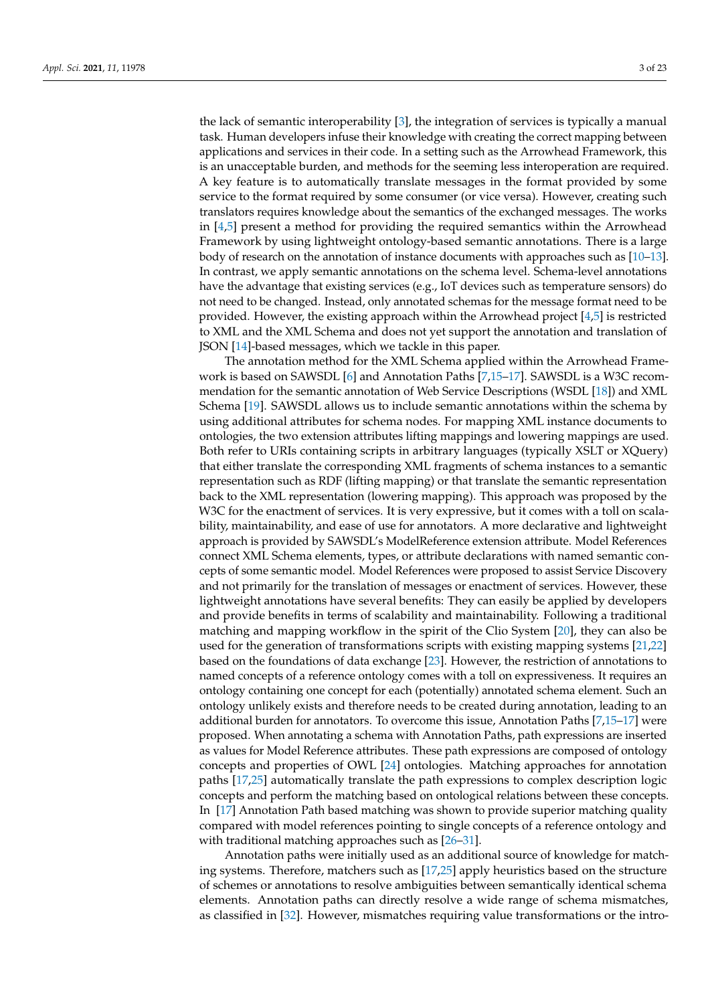the lack of semantic interoperability [\[3\]](#page-20-2), the integration of services is typically a manual task. Human developers infuse their knowledge with creating the correct mapping between applications and services in their code. In a setting such as the Arrowhead Framework, this is an unacceptable burden, and methods for the seeming less interoperation are required. A key feature is to automatically translate messages in the format provided by some service to the format required by some consumer (or vice versa). However, creating such translators requires knowledge about the semantics of the exchanged messages. The works in [\[4](#page-20-3)[,5\]](#page-20-4) present a method for providing the required semantics within the Arrowhead Framework by using lightweight ontology-based semantic annotations. There is a large body of research on the annotation of instance documents with approaches such as [\[10](#page-20-10)[–13\]](#page-20-11). In contrast, we apply semantic annotations on the schema level. Schema-level annotations have the advantage that existing services (e.g., IoT devices such as temperature sensors) do not need to be changed. Instead, only annotated schemas for the message format need to be provided. However, the existing approach within the Arrowhead project [\[4](#page-20-3)[,5\]](#page-20-4) is restricted to XML and the XML Schema and does not yet support the annotation and translation of JSON [\[14\]](#page-21-0)-based messages, which we tackle in this paper.

The annotation method for the XML Schema applied within the Arrowhead Framework is based on SAWSDL [\[6\]](#page-20-5) and Annotation Paths [\[7](#page-20-6)[,15](#page-21-1)[–17\]](#page-21-2). SAWSDL is a W3C recommendation for the semantic annotation of Web Service Descriptions (WSDL [\[18\]](#page-21-3)) and XML Schema [\[19\]](#page-21-4). SAWSDL allows us to include semantic annotations within the schema by using additional attributes for schema nodes. For mapping XML instance documents to ontologies, the two extension attributes lifting mappings and lowering mappings are used. Both refer to URIs containing scripts in arbitrary languages (typically XSLT or XQuery) that either translate the corresponding XML fragments of schema instances to a semantic representation such as RDF (lifting mapping) or that translate the semantic representation back to the XML representation (lowering mapping). This approach was proposed by the W3C for the enactment of services. It is very expressive, but it comes with a toll on scalability, maintainability, and ease of use for annotators. A more declarative and lightweight approach is provided by SAWSDL's ModelReference extension attribute. Model References connect XML Schema elements, types, or attribute declarations with named semantic concepts of some semantic model. Model References were proposed to assist Service Discovery and not primarily for the translation of messages or enactment of services. However, these lightweight annotations have several benefits: They can easily be applied by developers and provide benefits in terms of scalability and maintainability. Following a traditional matching and mapping workflow in the spirit of the Clio System [\[20\]](#page-21-5), they can also be used for the generation of transformations scripts with existing mapping systems [\[21](#page-21-6)[,22\]](#page-21-7) based on the foundations of data exchange [\[23\]](#page-21-8). However, the restriction of annotations to named concepts of a reference ontology comes with a toll on expressiveness. It requires an ontology containing one concept for each (potentially) annotated schema element. Such an ontology unlikely exists and therefore needs to be created during annotation, leading to an additional burden for annotators. To overcome this issue, Annotation Paths [\[7](#page-20-6)[,15](#page-21-1)[–17\]](#page-21-2) were proposed. When annotating a schema with Annotation Paths, path expressions are inserted as values for Model Reference attributes. These path expressions are composed of ontology concepts and properties of OWL [\[24\]](#page-21-9) ontologies. Matching approaches for annotation paths [\[17,](#page-21-2)[25\]](#page-21-10) automatically translate the path expressions to complex description logic concepts and perform the matching based on ontological relations between these concepts. In [\[17\]](#page-21-2) Annotation Path based matching was shown to provide superior matching quality compared with model references pointing to single concepts of a reference ontology and with traditional matching approaches such as [\[26](#page-21-11)[–31\]](#page-21-12).

Annotation paths were initially used as an additional source of knowledge for matching systems. Therefore, matchers such as [\[17](#page-21-2)[,25\]](#page-21-10) apply heuristics based on the structure of schemes or annotations to resolve ambiguities between semantically identical schema elements. Annotation paths can directly resolve a wide range of schema mismatches, as classified in [\[32\]](#page-21-13). However, mismatches requiring value transformations or the intro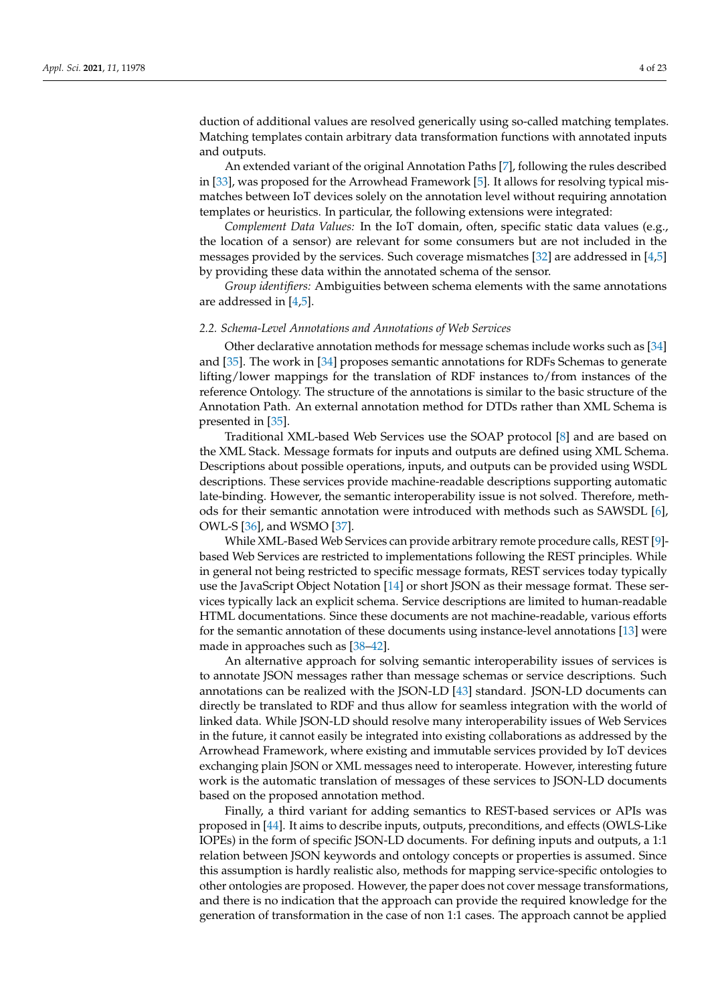duction of additional values are resolved generically using so-called matching templates. Matching templates contain arbitrary data transformation functions with annotated inputs and outputs.

An extended variant of the original Annotation Paths [\[7\]](#page-20-6), following the rules described in [\[33\]](#page-21-14), was proposed for the Arrowhead Framework [\[5\]](#page-20-4). It allows for resolving typical mismatches between IoT devices solely on the annotation level without requiring annotation templates or heuristics. In particular, the following extensions were integrated:

*Complement Data Values:* In the IoT domain, often, specific static data values (e.g., the location of a sensor) are relevant for some consumers but are not included in the messages provided by the services. Such coverage mismatches [\[32\]](#page-21-13) are addressed in [\[4](#page-20-3)[,5\]](#page-20-4) by providing these data within the annotated schema of the sensor.

*Group identifiers:* Ambiguities between schema elements with the same annotations are addressed in [\[4,](#page-20-3)[5\]](#page-20-4).

#### *2.2. Schema-Level Annotations and Annotations of Web Services*

Other declarative annotation methods for message schemas include works such as [\[34\]](#page-21-15) and [\[35\]](#page-21-16). The work in [\[34\]](#page-21-15) proposes semantic annotations for RDFs Schemas to generate lifting/lower mappings for the translation of RDF instances to/from instances of the reference Ontology. The structure of the annotations is similar to the basic structure of the Annotation Path. An external annotation method for DTDs rather than XML Schema is presented in [\[35\]](#page-21-16).

Traditional XML-based Web Services use the SOAP protocol [\[8\]](#page-20-8) and are based on the XML Stack. Message formats for inputs and outputs are defined using XML Schema. Descriptions about possible operations, inputs, and outputs can be provided using WSDL descriptions. These services provide machine-readable descriptions supporting automatic late-binding. However, the semantic interoperability issue is not solved. Therefore, methods for their semantic annotation were introduced with methods such as SAWSDL [\[6\]](#page-20-5), OWL-S [\[36\]](#page-21-17), and WSMO [\[37\]](#page-21-18).

While XML-Based Web Services can provide arbitrary remote procedure calls, REST [\[9\]](#page-20-9) based Web Services are restricted to implementations following the REST principles. While in general not being restricted to specific message formats, REST services today typically use the JavaScript Object Notation [\[14\]](#page-21-0) or short JSON as their message format. These services typically lack an explicit schema. Service descriptions are limited to human-readable HTML documentations. Since these documents are not machine-readable, various efforts for the semantic annotation of these documents using instance-level annotations [\[13\]](#page-20-11) were made in approaches such as [\[38](#page-21-19)[–42\]](#page-22-0).

An alternative approach for solving semantic interoperability issues of services is to annotate JSON messages rather than message schemas or service descriptions. Such annotations can be realized with the JSON-LD [\[43\]](#page-22-1) standard. JSON-LD documents can directly be translated to RDF and thus allow for seamless integration with the world of linked data. While JSON-LD should resolve many interoperability issues of Web Services in the future, it cannot easily be integrated into existing collaborations as addressed by the Arrowhead Framework, where existing and immutable services provided by IoT devices exchanging plain JSON or XML messages need to interoperate. However, interesting future work is the automatic translation of messages of these services to JSON-LD documents based on the proposed annotation method.

Finally, a third variant for adding semantics to REST-based services or APIs was proposed in [\[44\]](#page-22-2). It aims to describe inputs, outputs, preconditions, and effects (OWLS-Like IOPEs) in the form of specific JSON-LD documents. For defining inputs and outputs, a 1:1 relation between JSON keywords and ontology concepts or properties is assumed. Since this assumption is hardly realistic also, methods for mapping service-specific ontologies to other ontologies are proposed. However, the paper does not cover message transformations, and there is no indication that the approach can provide the required knowledge for the generation of transformation in the case of non 1:1 cases. The approach cannot be applied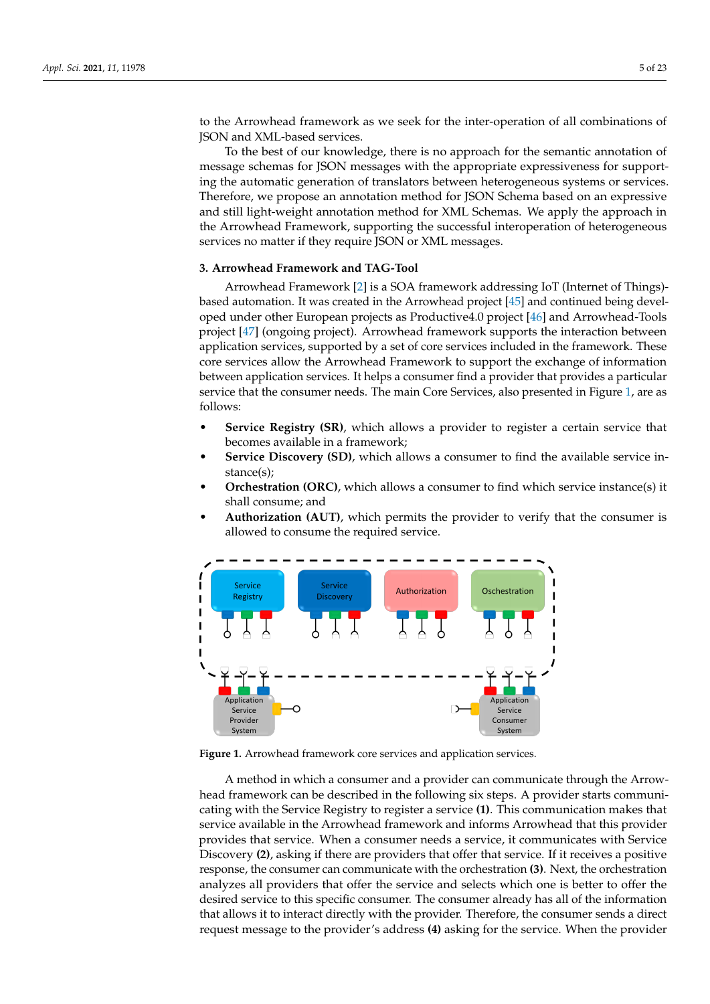to the Arrowhead framework as we seek for the inter-operation of all combinations of JSON and XML-based services.

To the best of our knowledge, there is no approach for the semantic annotation of message schemas for JSON messages with the appropriate expressiveness for supporting the automatic generation of translators between heterogeneous systems or services. Therefore, we propose an annotation method for JSON Schema based on an expressive and still light-weight annotation method for XML Schemas. We apply the approach in the Arrowhead Framework, supporting the successful interoperation of heterogeneous services no matter if they require JSON or XML messages.

## <span id="page-4-0"></span>**3. Arrowhead Framework and TAG-Tool**

Arrowhead Framework [\[2\]](#page-20-1) is a SOA framework addressing IoT (Internet of Things) based automation. It was created in the Arrowhead project [\[45\]](#page-22-3) and continued being developed under other European projects as Productive4.0 project [\[46\]](#page-22-4) and Arrowhead-Tools project [\[47\]](#page-22-5) (ongoing project). Arrowhead framework supports the interaction between application services, supported by a set of core services included in the framework. These core services allow the Arrowhead Framework to support the exchange of information between application services. It helps a consumer find a provider that provides a particular service that the consumer needs. The main Core Services, also presented in Figure [1,](#page-4-1) are as follows:

- **Service Registry (SR)**, which allows a provider to register a certain service that becomes available in a framework;
- **Service Discovery (SD)**, which allows a consumer to find the available service instance(s);
- **Orchestration (ORC)**, which allows a consumer to find which service instance(s) it shall consume; and
- **Authorization (AUT)**, which permits the provider to verify that the consumer is allowed to consume the required service.

<span id="page-4-1"></span>

**Figure 1.** Arrowhead framework core services and application services.

A method in which a consumer and a provider can communicate through the Arrowhead framework can be described in the following six steps. A provider starts communicating with the Service Registry to register a service **(1)**. This communication makes that service available in the Arrowhead framework and informs Arrowhead that this provider provides that service. When a consumer needs a service, it communicates with Service Discovery **(2)**, asking if there are providers that offer that service. If it receives a positive response, the consumer can communicate with the orchestration **(3)**. Next, the orchestration analyzes all providers that offer the service and selects which one is better to offer the desired service to this specific consumer. The consumer already has all of the information that allows it to interact directly with the provider. Therefore, the consumer sends a direct request message to the provider's address **(4)** asking for the service. When the provider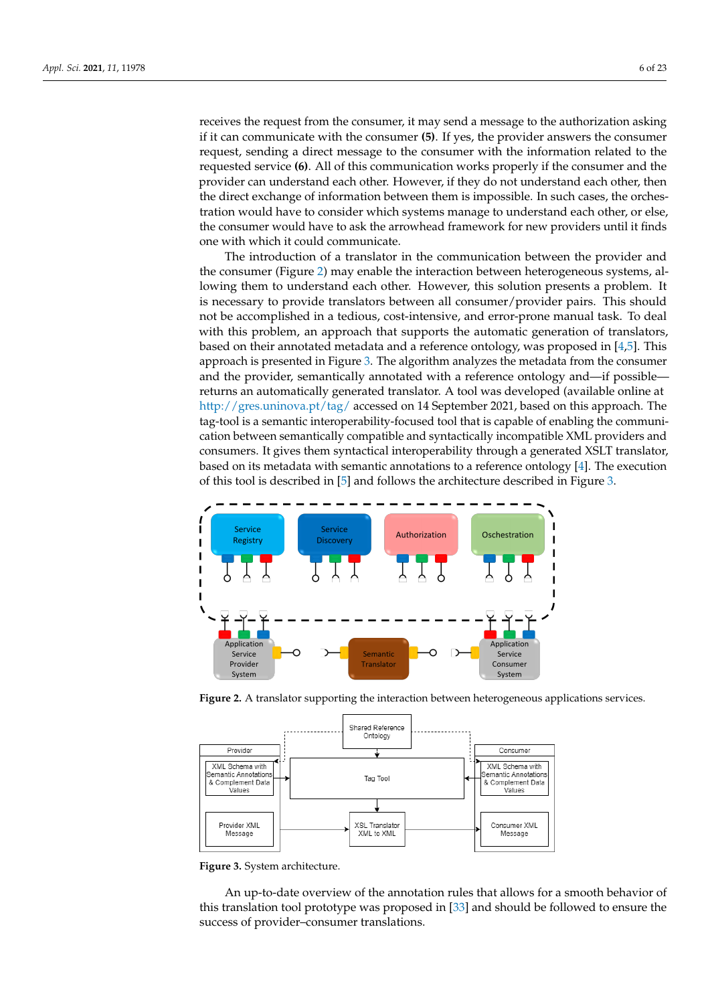receives the request from the consumer, it may send a message to the authorization asking if it can communicate with the consumer **(5)**. If yes, the provider answers the consumer request, sending a direct message to the consumer with the information related to the requested service **(6)**. All of this communication works properly if the consumer and the provider can understand each other. However, if they do not understand each other, then the direct exchange of information between them is impossible. In such cases, the orchestration would have to consider which systems manage to understand each other, or else, the consumer would have to ask the arrowhead framework for new providers until it finds one with which it could communicate.

The introduction of a translator in the communication between the provider and the consumer (Figure [2\)](#page-5-0) may enable the interaction between heterogeneous systems, allowing them to understand each other. However, this solution presents a problem. It is necessary to provide translators between all consumer/provider pairs. This should not be accomplished in a tedious, cost-intensive, and error-prone manual task. To deal with this problem, an approach that supports the automatic generation of translators, based on their annotated metadata and a reference ontology, was proposed in  $[4,5]$  $[4,5]$ . This approach is presented in Figure [3.](#page-5-1) The algorithm analyzes the metadata from the consumer and the provider, semantically annotated with a reference ontology and—if possible returns an automatically generated translator. A tool was developed (available online at <http://gres.uninova.pt/tag/> accessed on 14 September 2021, based on this approach. The tag-tool is a semantic interoperability-focused tool that is capable of enabling the communication between semantically compatible and syntactically incompatible XML providers and consumers. It gives them syntactical interoperability through a generated XSLT translator, based on its metadata with semantic annotations to a reference ontology [\[4\]](#page-20-3). The execution of this tool is described in [\[5\]](#page-20-4) and follows the architecture described in Figure [3.](#page-5-1)

<span id="page-5-0"></span>

**Figure 2.** A translator supporting the interaction between heterogeneous applications services.

<span id="page-5-1"></span>

**Figure 3.** System architecture.

An up-to-date overview of the annotation rules that allows for a smooth behavior of this translation tool prototype was proposed in [\[33\]](#page-21-14) and should be followed to ensure the success of provider–consumer translations.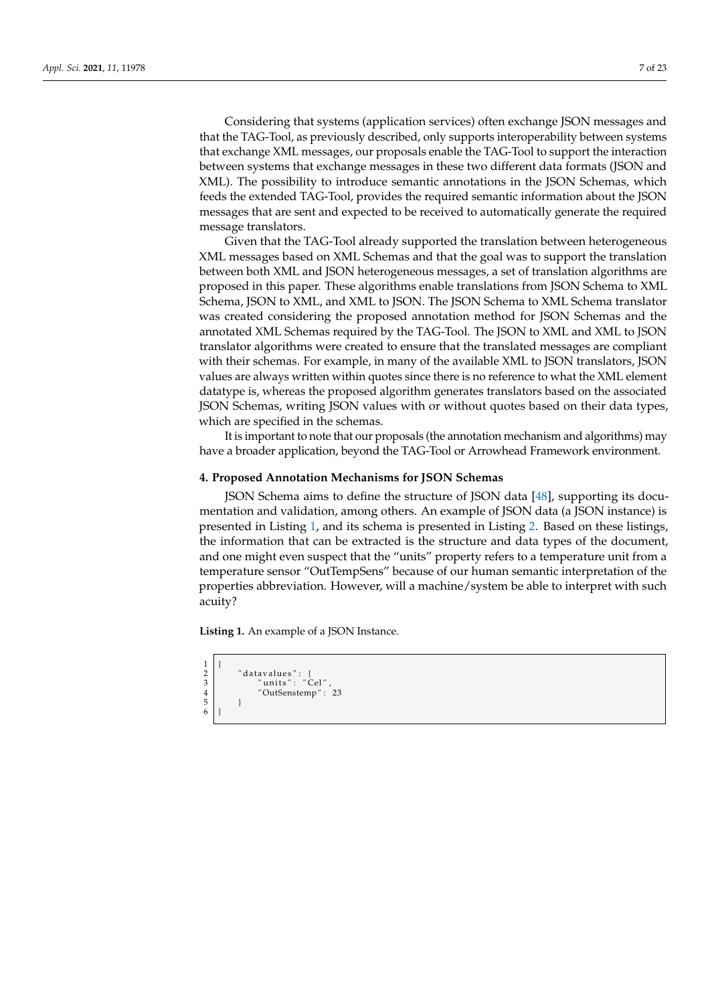Considering that systems (application services) often exchange JSON messages and that the TAG-Tool, as previously described, only supports interoperability between systems that exchange XML messages, our proposals enable the TAG-Tool to support the interaction between systems that exchange messages in these two different data formats (JSON and XML). The possibility to introduce semantic annotations in the JSON Schemas, which feeds the extended TAG-Tool, provides the required semantic information about the JSON messages that are sent and expected to be received to automatically generate the required message translators.

Given that the TAG-Tool already supported the translation between heterogeneous XML messages based on XML Schemas and that the goal was to support the translation between both XML and JSON heterogeneous messages, a set of translation algorithms are proposed in this paper. These algorithms enable translations from JSON Schema to XML Schema, JSON to XML, and XML to JSON. The JSON Schema to XML Schema translator was created considering the proposed annotation method for JSON Schemas and the annotated XML Schemas required by the TAG-Tool. The JSON to XML and XML to JSON translator algorithms were created to ensure that the translated messages are compliant with their schemas. For example, in many of the available XML to JSON translators, JSON values are always written within quotes since there is no reference to what the XML element datatype is, whereas the proposed algorithm generates translators based on the associated JSON Schemas, writing JSON values with or without quotes based on their data types, which are specified in the schemas.

It is important to note that our proposals (the annotation mechanism and algorithms) may have a broader application, beyond the TAG-Tool or Arrowhead Framework environment.

## <span id="page-6-0"></span>**4. Proposed Annotation Mechanisms for JSON Schemas**

JSON Schema aims to define the structure of JSON data [\[48\]](#page-22-6), supporting its documentation and validation, among others. An example of JSON data (a JSON instance) is presented in Listing [1,](#page-6-1) and its schema is presented in Listing [2.](#page-7-0) Based on these listings, the information that can be extracted is the structure and data types of the document, and one might even suspect that the "units" property refers to a temperature unit from a temperature sensor "OutTempSens" because of our human semantic interpretation of the properties abbreviation. However, will a machine/system be able to interpret with such acuity?

**Listing 1.** An example of a JSON Instance.

```
\frac{1}{2}2 | "datavalues": {<br>3 | "units": "Cel",
                        4 " OutSenstemp " : 23
 \begin{bmatrix} 5 \\ 6 \end{bmatrix} }
```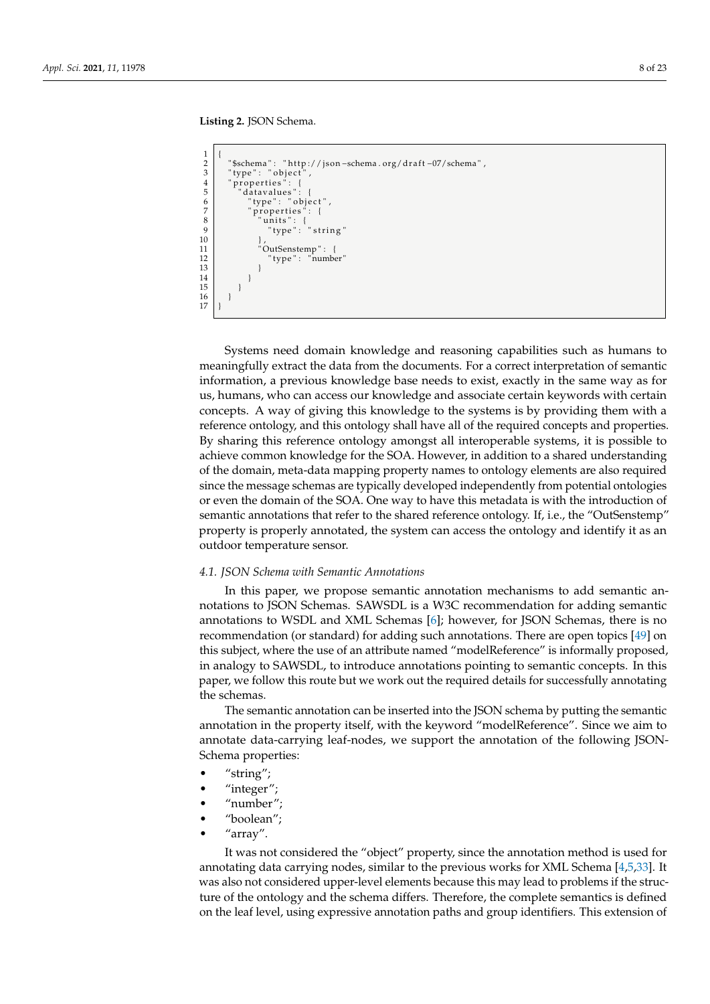**Listing 2.** JSON Schema.

```
\frac{1}{2}"$schema": "http://json-schema.org/draft-07/schema",<br>"type": "object",
 \begin{array}{c} 3 \\ 4 \\ 5 \end{array} " type": "object"<br>\begin{array}{c} 3 \\ 4 \\ 6 \end{array} " properties": {
             properties'
 5 \begin{array}{c} 5 \text{ dtaivalues} : \{ 6 \text{ dtavalues} : \{ 6 \text{ d} \} \ \end{array}" type": " object"
 \begin{array}{c} 7 \\ 8 \end{array} " properties": {
  8 " u ni t s " : {
9 " type " : " s t r i n g "
10 },
11 | "OutSenstemp": {
12 | "type": "number"
13 }
14 }
15 }
16 }
17 }
```
Systems need domain knowledge and reasoning capabilities such as humans to meaningfully extract the data from the documents. For a correct interpretation of semantic information, a previous knowledge base needs to exist, exactly in the same way as for us, humans, who can access our knowledge and associate certain keywords with certain concepts. A way of giving this knowledge to the systems is by providing them with a reference ontology, and this ontology shall have all of the required concepts and properties. By sharing this reference ontology amongst all interoperable systems, it is possible to achieve common knowledge for the SOA. However, in addition to a shared understanding of the domain, meta-data mapping property names to ontology elements are also required since the message schemas are typically developed independently from potential ontologies or even the domain of the SOA. One way to have this metadata is with the introduction of semantic annotations that refer to the shared reference ontology. If, i.e., the "OutSenstemp" property is properly annotated, the system can access the ontology and identify it as an outdoor temperature sensor.

## *4.1. JSON Schema with Semantic Annotations*

In this paper, we propose semantic annotation mechanisms to add semantic annotations to JSON Schemas. SAWSDL is a W3C recommendation for adding semantic annotations to WSDL and XML Schemas [\[6\]](#page-20-5); however, for JSON Schemas, there is no recommendation (or standard) for adding such annotations. There are open topics [\[49\]](#page-22-7) on this subject, where the use of an attribute named "modelReference" is informally proposed, in analogy to SAWSDL, to introduce annotations pointing to semantic concepts. In this paper, we follow this route but we work out the required details for successfully annotating the schemas.

The semantic annotation can be inserted into the JSON schema by putting the semantic annotation in the property itself, with the keyword "modelReference". Since we aim to annotate data-carrying leaf-nodes, we support the annotation of the following JSON-Schema properties:

- "string";
- "integer";
- "number";
- "boolean";
- "array".

It was not considered the "object" property, since the annotation method is used for annotating data carrying nodes, similar to the previous works for XML Schema [\[4](#page-20-3)[,5](#page-20-4)[,33\]](#page-21-14). It was also not considered upper-level elements because this may lead to problems if the structure of the ontology and the schema differs. Therefore, the complete semantics is defined on the leaf level, using expressive annotation paths and group identifiers. This extension of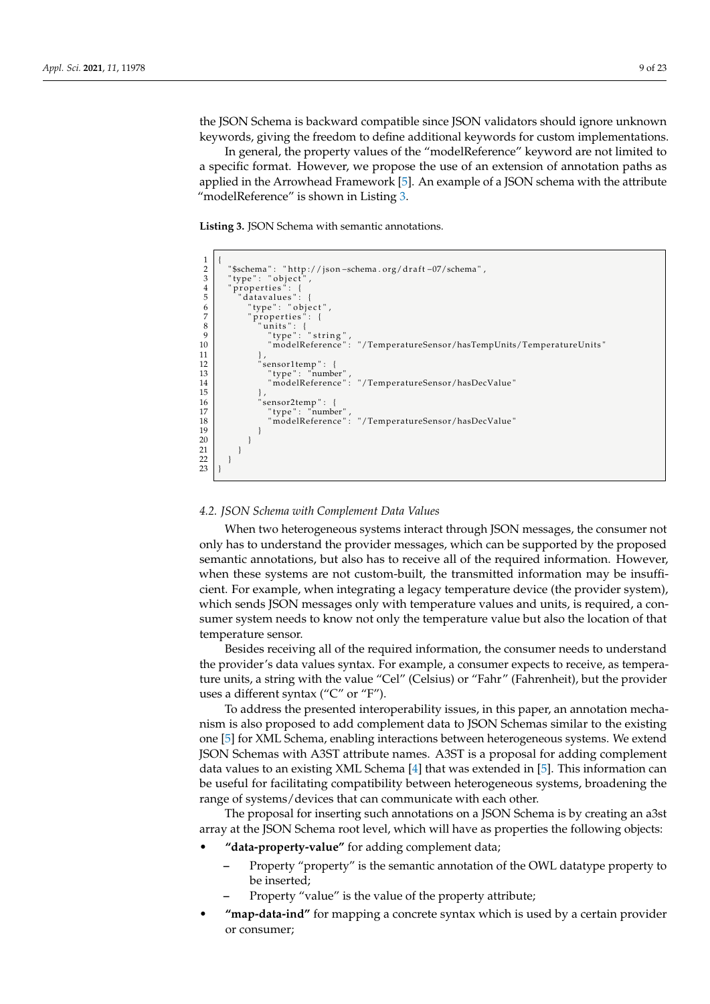the JSON Schema is backward compatible since JSON validators should ignore unknown keywords, giving the freedom to define additional keywords for custom implementations.

In general, the property values of the "modelReference" keyword are not limited to a specific format. However, we propose the use of an extension of annotation paths as applied in the Arrowhead Framework [\[5\]](#page-20-4). An example of a JSON schema with the attribute "modelReference" is shown in Listing [3.](#page-8-0)

**Listing 3.** JSON Schema with semantic annotations.

```
\frac{1}{2}2 \int_3^{\infty} "$schema": " http://json –schema . org/draft –07/schema",
 \begin{array}{c} 3 \\ 4 \\ 5 \end{array} " type": " object<br>
\begin{array}{c} 4 \\ 5 \end{array} " atavalues":
           properties":
  5 " d a t av alue s " : {
6 " type " : " o b j e c t " ,
 \begin{array}{c|c} 6 & \text{ "type": "object} \\ 7 & \text{ "properties":} \\ 8 & \text{ "units":} \end{array}\begin{bmatrix} 8 \\ 9 \end{bmatrix} " units": {<br>"type":
\begin{array}{c} 9 \\ 9 \\ 10 \end{array} " type": "string",
10 " modelReference": "/TemperatureSensor/hasTempUnits/TemperatureUnits"<br>11
11 },
12 | "sensor1temp": {<br>13 | "type": "number",
14 " modelReference": "/TemperatureSensor/hasDecValue'<br>15
15 },
16 sensor2temp": {<br>17 sensor2temp": {<br>"type": "number"
17 | "type"<br>18 | "mode
18 " modelReference": "/TemperatureSensor/hasDecValue'<br>19
19 }
\begin{array}{c|c} 20 & & \\ 21 & & \end{array}21 }
22 }
\frac{1}{23}
```
## <span id="page-8-1"></span>*4.2. JSON Schema with Complement Data Values*

When two heterogeneous systems interact through JSON messages, the consumer not only has to understand the provider messages, which can be supported by the proposed semantic annotations, but also has to receive all of the required information. However, when these systems are not custom-built, the transmitted information may be insufficient. For example, when integrating a legacy temperature device (the provider system), which sends JSON messages only with temperature values and units, is required, a consumer system needs to know not only the temperature value but also the location of that temperature sensor.

Besides receiving all of the required information, the consumer needs to understand the provider's data values syntax. For example, a consumer expects to receive, as temperature units, a string with the value "Cel" (Celsius) or "Fahr" (Fahrenheit), but the provider uses a different syntax ("C" or "F").

To address the presented interoperability issues, in this paper, an annotation mechanism is also proposed to add complement data to JSON Schemas similar to the existing one [\[5\]](#page-20-4) for XML Schema, enabling interactions between heterogeneous systems. We extend JSON Schemas with A3ST attribute names. A3ST is a proposal for adding complement data values to an existing XML Schema [\[4\]](#page-20-3) that was extended in [\[5\]](#page-20-4). This information can be useful for facilitating compatibility between heterogeneous systems, broadening the range of systems/devices that can communicate with each other.

The proposal for inserting such annotations on a JSON Schema is by creating an a3st array at the JSON Schema root level, which will have as properties the following objects:

- **"data-property-value"** for adding complement data;
	- **–** Property "property" is the semantic annotation of the OWL datatype property to be inserted;
	- **–** Property "value" is the value of the property attribute;
- **"map-data-ind"** for mapping a concrete syntax which is used by a certain provider or consumer;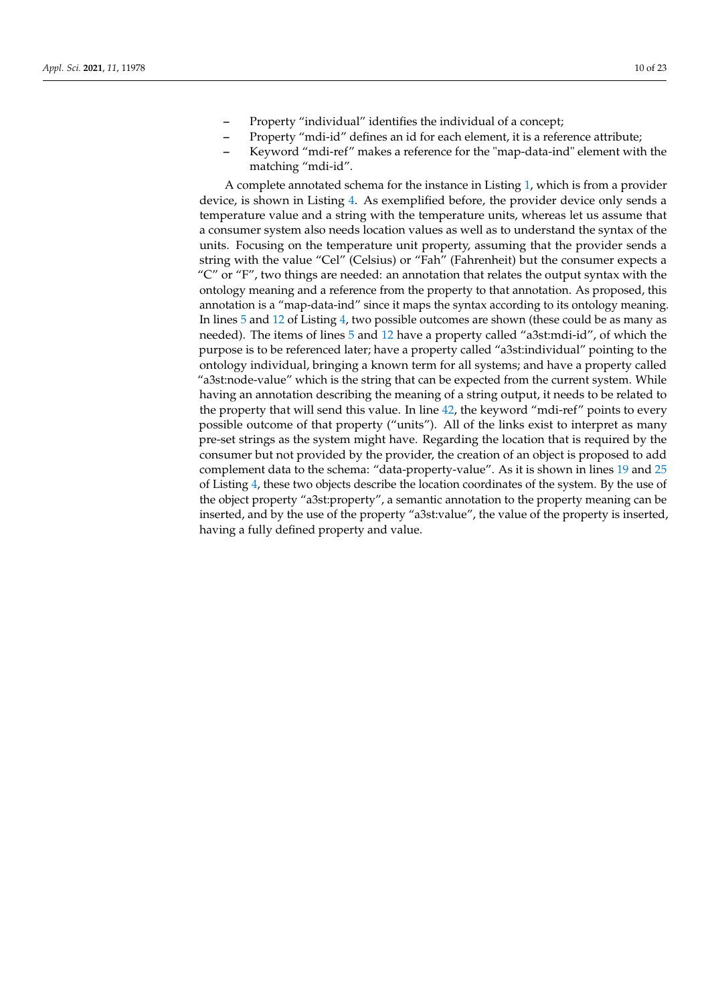- **–** Property "individual" identifies the individual of a concept;
- **–** Property "mdi-id" defines an id for each element, it is a reference attribute;
- **–** Keyword "mdi-ref" makes a reference for the "map-data-ind" element with the matching "mdi-id".

A complete annotated schema for the instance in Listing [1,](#page-6-1) which is from a provider device, is shown in Listing [4.](#page-10-1) As exemplified before, the provider device only sends a temperature value and a string with the temperature units, whereas let us assume that a consumer system also needs location values as well as to understand the syntax of the units. Focusing on the temperature unit property, assuming that the provider sends a string with the value "Cel" (Celsius) or "Fah" (Fahrenheit) but the consumer expects a "C" or "F", two things are needed: an annotation that relates the output syntax with the ontology meaning and a reference from the property to that annotation. As proposed, this annotation is a "map-data-ind" since it maps the syntax according to its ontology meaning. In lines [5](#page-10-2) and [12](#page-10-3) of Listing [4,](#page-10-1) two possible outcomes are shown (these could be as many as needed). The items of lines [5](#page-10-2) and [12](#page-10-3) have a property called "a3st:mdi-id", of which the purpose is to be referenced later; have a property called "a3st:individual" pointing to the ontology individual, bringing a known term for all systems; and have a property called "a3st:node-value" which is the string that can be expected from the current system. While having an annotation describing the meaning of a string output, it needs to be related to the property that will send this value. In line [42,](#page-10-4) the keyword "mdi-ref" points to every possible outcome of that property ("units"). All of the links exist to interpret as many pre-set strings as the system might have. Regarding the location that is required by the consumer but not provided by the provider, the creation of an object is proposed to add complement data to the schema: "data-property-value". As it is shown in lines [19](#page-10-5) and [25](#page-10-6) of Listing [4,](#page-10-1) these two objects describe the location coordinates of the system. By the use of the object property "a3st:property", a semantic annotation to the property meaning can be inserted, and by the use of the property "a3st:value", the value of the property is inserted, having a fully defined property and value.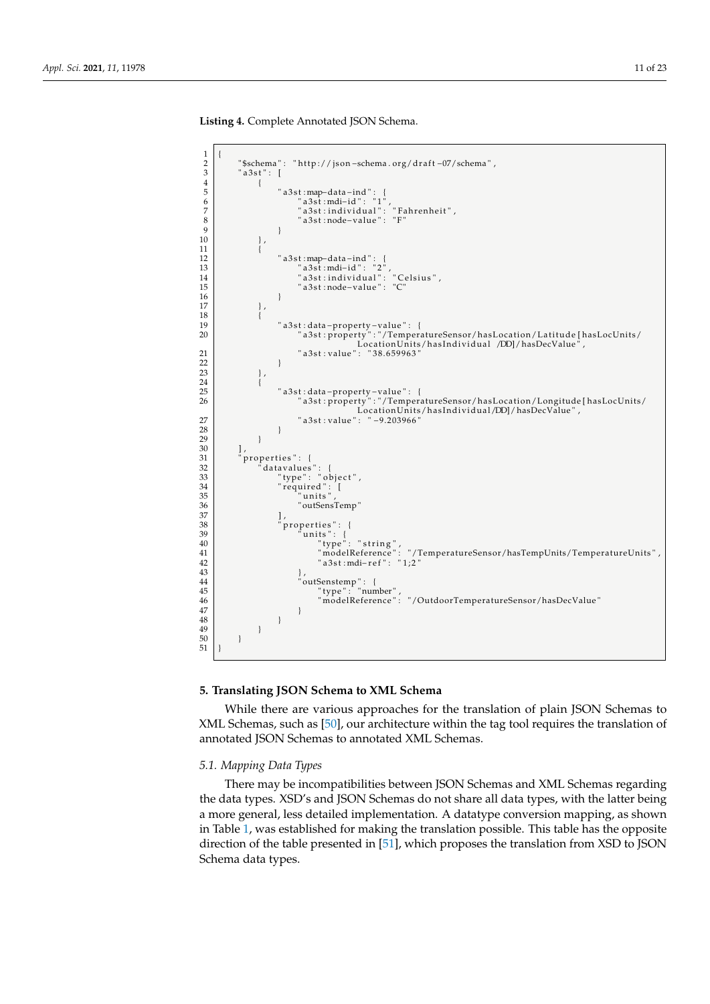<span id="page-10-2"></span><span id="page-10-1"></span>**Listing 4.** Complete Annotated JSON Schema.

<span id="page-10-6"></span><span id="page-10-5"></span><span id="page-10-3"></span>

## <span id="page-10-4"></span><span id="page-10-0"></span>**5. Translating JSON Schema to XML Schema**

While there are various approaches for the translation of plain JSON Schemas to XML Schemas, such as [\[50\]](#page-22-8), our architecture within the tag tool requires the translation of annotated JSON Schemas to annotated XML Schemas.

# *5.1. Mapping Data Types*

There may be incompatibilities between JSON Schemas and XML Schemas regarding the data types. XSD's and JSON Schemas do not share all data types, with the latter being a more general, less detailed implementation. A datatype conversion mapping, as shown in Table [1,](#page-11-0) was established for making the translation possible. This table has the opposite direction of the table presented in [\[51\]](#page-22-9), which proposes the translation from XSD to JSON Schema data types.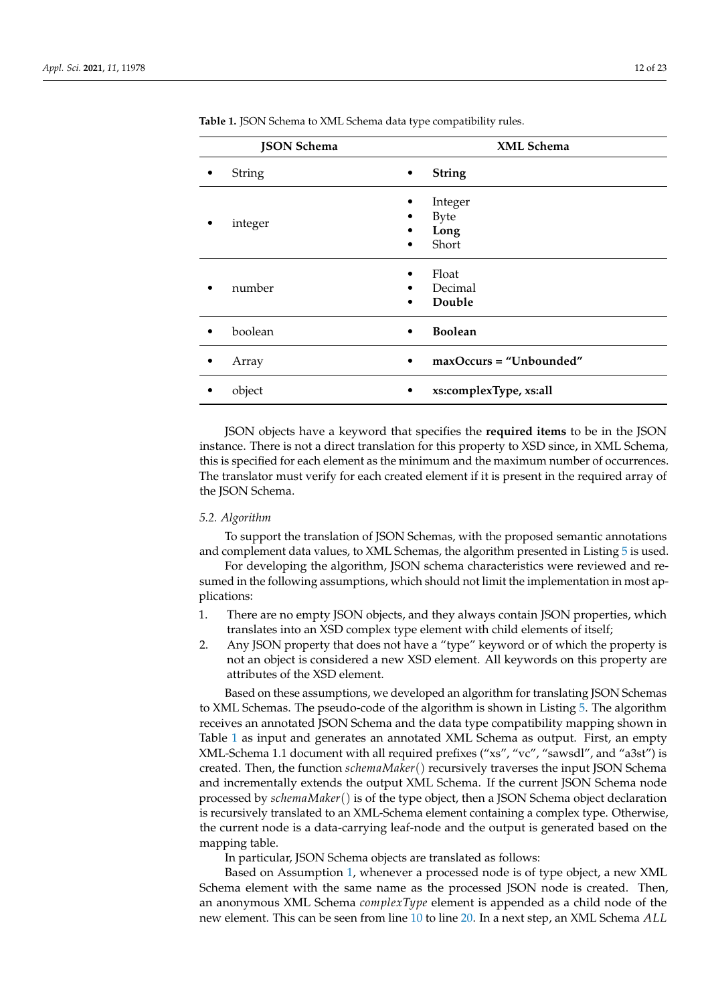| <b>JSON Schema</b> | XML Schema                                        |
|--------------------|---------------------------------------------------|
| String             | <b>String</b><br>٠                                |
| integer            | Integer<br><b>Byte</b><br>٠<br>Long<br>Short<br>٠ |
| number             | Float<br>Decimal<br>Double<br>٠                   |
| boolean            | <b>Boolean</b><br>٠                               |
| Array              | $maxOccurs = "Unbounded"$                         |
| object             | xs:complexType, xs:all                            |

<span id="page-11-0"></span>Table 1. JSON Schema to XML Schema data type compatibility rules.

JSON objects have a keyword that specifies the **required items** to be in the JSON instance. There is not a direct translation for this property to XSD since, in XML Schema, this is specified for each element as the minimum and the maximum number of occurrences. The translator must verify for each created element if it is present in the required array of the JSON Schema.

## *5.2. Algorithm*

To support the translation of JSON Schemas, with the proposed semantic annotations and complement data values, to XML Schemas, the algorithm presented in Listing [5](#page-13-0) is used.

For developing the algorithm, JSON schema characteristics were reviewed and resumed in the following assumptions, which should not limit the implementation in most applications:

- <span id="page-11-1"></span>1. There are no empty JSON objects, and they always contain JSON properties, which translates into an XSD complex type element with child elements of itself;
- <span id="page-11-2"></span>2. Any JSON property that does not have a "type" keyword or of which the property is not an object is considered a new XSD element. All keywords on this property are attributes of the XSD element.

Based on these assumptions, we developed an algorithm for translating JSON Schemas to XML Schemas. The pseudo-code of the algorithm is shown in Listing [5.](#page-13-0) The algorithm receives an annotated JSON Schema and the data type compatibility mapping shown in Table [1](#page-11-0) as input and generates an annotated XML Schema as output. First, an empty XML-Schema 1.1 document with all required prefixes ("xs", "vc", "sawsdl", and "a3st") is created. Then, the function *schemaMaker*() recursively traverses the input JSON Schema and incrementally extends the output XML Schema. If the current JSON Schema node processed by *schemaMaker*() is of the type object, then a JSON Schema object declaration is recursively translated to an XML-Schema element containing a complex type. Otherwise, the current node is a data-carrying leaf-node and the output is generated based on the mapping table.

In particular, JSON Schema objects are translated as follows:

Based on Assumption [1,](#page-11-1) whenever a processed node is of type object, a new XML Schema element with the same name as the processed JSON node is created. Then, an anonymous XML Schema *complexType* element is appended as a child node of the new element. This can be seen from line [10](#page-13-1) to line [20.](#page-13-2) In a next step, an XML Schema *ALL*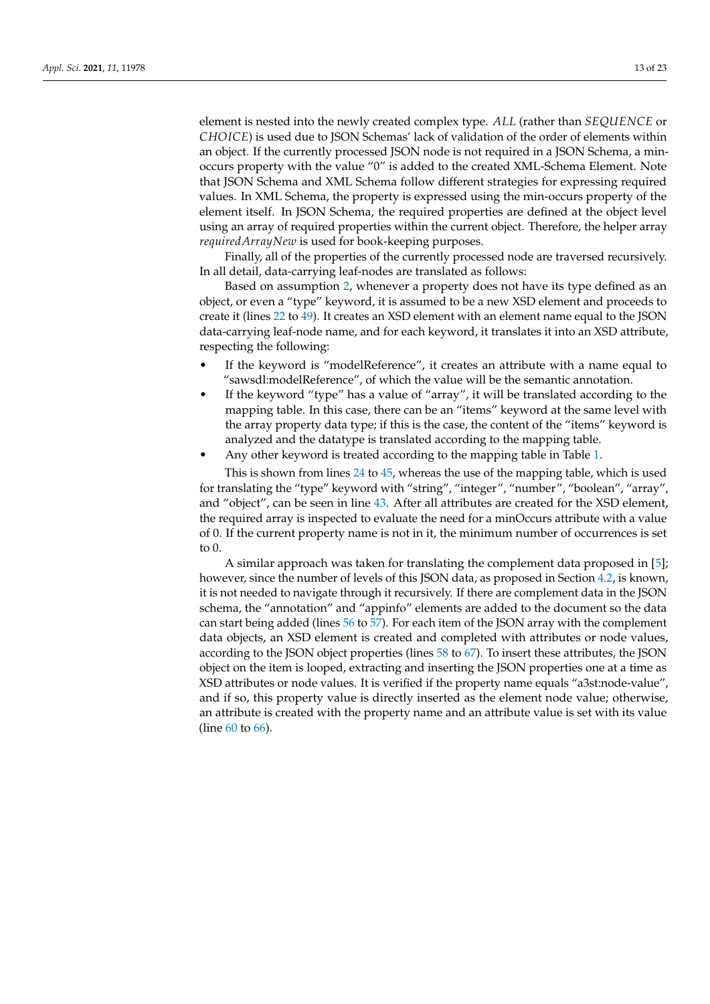element is nested into the newly created complex type. *ALL* (rather than *SEQUENCE* or *CHOICE*) is used due to JSON Schemas' lack of validation of the order of elements within an object. If the currently processed JSON node is not required in a JSON Schema, a minoccurs property with the value "0" is added to the created XML-Schema Element. Note that JSON Schema and XML Schema follow different strategies for expressing required values. In XML Schema, the property is expressed using the min-occurs property of the element itself. In JSON Schema, the required properties are defined at the object level using an array of required properties within the current object. Therefore, the helper array *requiredArrayNew* is used for book-keeping purposes.

Finally, all of the properties of the currently processed node are traversed recursively. In all detail, data-carrying leaf-nodes are translated as follows:

Based on assumption [2,](#page-11-2) whenever a property does not have its type defined as an object, or even a "type" keyword, it is assumed to be a new XSD element and proceeds to create it (lines [22](#page-13-3) to [49\)](#page-13-4). It creates an XSD element with an element name equal to the JSON data-carrying leaf-node name, and for each keyword, it translates it into an XSD attribute, respecting the following:

- If the keyword is "modelReference", it creates an attribute with a name equal to "sawsdl:modelReference", of which the value will be the semantic annotation.
- If the keyword "type" has a value of "array", it will be translated according to the mapping table. In this case, there can be an "items" keyword at the same level with the array property data type; if this is the case, the content of the "items" keyword is analyzed and the datatype is translated according to the mapping table.
- Any other keyword is treated according to the mapping table in Table [1.](#page-11-0)

This is shown from lines [24](#page-13-5) to [45,](#page-13-6) whereas the use of the mapping table, which is used for translating the "type" keyword with "string", "integer", "number", "boolean", "array", and "object", can be seen in line [43.](#page-13-7) After all attributes are created for the XSD element, the required array is inspected to evaluate the need for a minOccurs attribute with a value of 0. If the current property name is not in it, the minimum number of occurrences is set to 0.

A similar approach was taken for translating the complement data proposed in [\[5\]](#page-20-4); however, since the number of levels of this JSON data, as proposed in Section [4.2,](#page-8-1) is known, it is not needed to navigate through it recursively. If there are complement data in the JSON schema, the "annotation" and "appinfo" elements are added to the document so the data can start being added (lines [56](#page-13-8) to [57\)](#page-13-9). For each item of the JSON array with the complement data objects, an XSD element is created and completed with attributes or node values, according to the JSON object properties (lines [58](#page-13-10) to [67\)](#page-13-11). To insert these attributes, the JSON object on the item is looped, extracting and inserting the JSON properties one at a time as XSD attributes or node values. It is verified if the property name equals "a3st:node-value", and if so, this property value is directly inserted as the element node value; otherwise, an attribute is created with the property name and an attribute value is set with its value (line [60](#page-13-12) to [66\)](#page-13-13).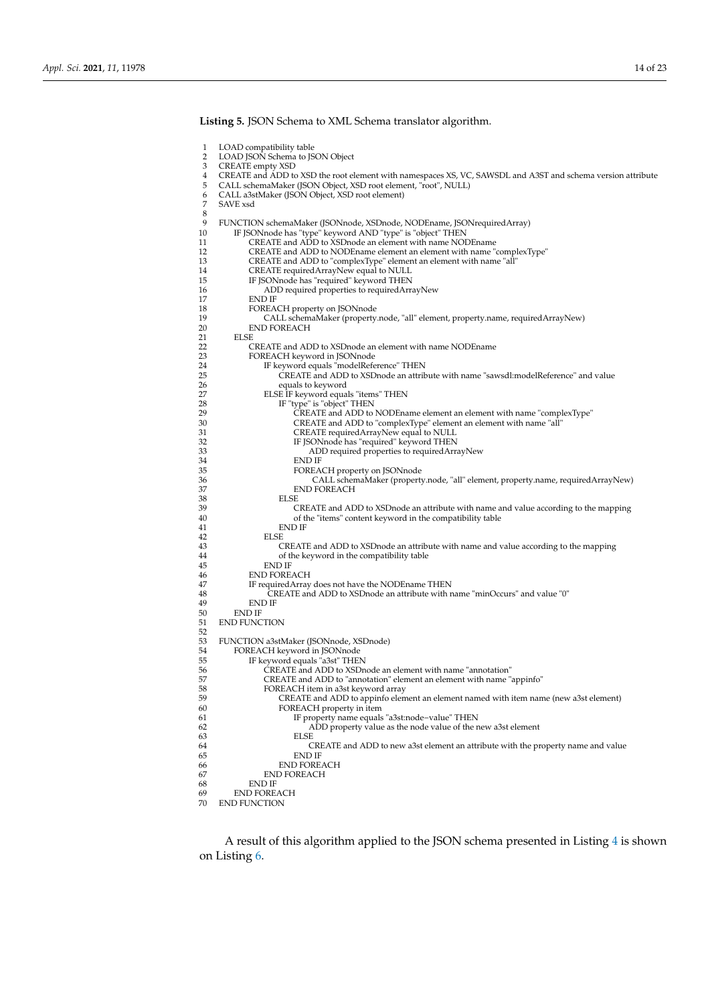<span id="page-13-5"></span><span id="page-13-3"></span><span id="page-13-2"></span><span id="page-13-1"></span><span id="page-13-0"></span>1 LOAD compatibility table<br>2 LOAD JSON Schema to JS 2 LOAD JSON Schema to JSON Object<br>3 CREATE empty XSD 3 CREATE empty XSD<br>4 CREATE and ADD to 4 CREATE and ADD to XSD the root element with namespaces XS, VC, SAWSDL and A3ST and schema version attribute 5 CALL schemaMaker (JSON Object, XSD root element, "root", NULL) 6 CALL a3stMaker (JSON Object, XSD root element) SAVE xsd  $\frac{8}{9}$ 9 FUNCTION schemaMaker (JSONnode, XSDnode, NODEname, JSONrequiredArray)<br>10 IF JSONnode has "type" keyword AND "type" is "object" THEN 10 IF JSONnode has "type" keyword AND "type" is "object" THEN 11 CREATE and ADD to XSDnode an element with name NODEname 12 CREATE and ADD to NODE name element an element with name "complexType"<br>13 CREATE and ADD to "complexType" element an element with name "all" 13 CREATE and ADD to "complexType" element an element with name "all"<br>14 CREATE required ArravNew equal to NULL 14 CREATE requiredArrayNew equal to NULL<br>15 IF JSONnode has "required" keyword THEN 15 IF JSON node has "required" keyword THEN<br>16 ADD required properties to required Arr. 16 ADD required properties to requiredArrayNew 17 17 END IF<br>18 FOREA 18 FOREACH property on JSONnode 19 CALL schemaMaker (property.node, "all" element, property.name, requiredArrayNew) 20 END FOREACH<br>21 EISE  $\overline{21}$  ELSE 22 CREATE and ADD to XSDnode an element with name NODEname<br>23 FOREACH keyword in ISONnode 23 FOREACH keyword in JSONnode 24 IF keyword equals "modelReference" THEN 25 CREATE and ADD to XSDnode an attribute with name "sawsdl:modelReference" and value<br>26 equals to keyword 26 equals to keyword<br>27 ELSE IF keyword equa 27 ELSE IF keyword equals "items" THEN<br>28 IF "type" is "object" THEN 28 IF "type" is "object" THEN<br>29 CREATE and ADD to 29 CREATE and ADD to NODEname element an element with name "complexType" 30 CREATE and ADD to "complexType" element an element with name "all" 31 CREATE required ArrayNew equal to NULL<br>32 IF ISON node has "required" keyword THEN 32 IF JSONnode has "required" keyword THEN 33 ADD required properties to requiredArrayNew<br>
BOREACH property on ISON<br>
ROREACH property on ISON<br>
ROREACH property on ISON<br>
ROREACH property on ISON<br>
ROREACH property on ISON<br>
ROREACH property on ISON<br>
ROREACH property o END IF <sup>35</sup> FOREACH property on JSONnode<br>36 CALL schemaMaker (property 36 CALL schemaMaker (property.node, "all" element, property.name, requiredArrayNew) 37 END FOREACH 38 ELSE<br>39 C 39 CREATE and ADD to XSDnode an attribute with name and value according to the mapping 40 of the "items" content keyword in the compatibility table END IF 42 ELSE<br>43 C THE STATE and ADD to XSD node an attribute with name and value according to the mapping<br>of the keyword in the compatibility table 44 of the keyword in the compatibility table 45 END IF<br>46 END FORE 46 END FOREACH<br>47 Exequired Array 47 IF required Array does not have the NODE name THEN<br>48 CREATE and ADD to XSD node an attribute with r 48 CREATE and ADD to XSD node an attribute with name "minOccurs" and value "0"<br>49 END IF 49 END IF 50 END IF<br>51 END FUNC END FUNCTION 52 53 FUNCTION a3stMaker (JSONnode, XSDnode)<br>54 FOREACH keyword in ISONnode 54 FOREACH keyword in JSONnode<br>55 IF keyword equals "a3st" THE 55 IF keyword equals "a3st" THEN<br>56 CREATE and ADD to XSDn 56 **CREATE and ADD to XSD node an element with name "annotation"**<br>57 **CREATE and ADD to "annotation" element an element with name** ' 57 CREATE and ADD to "annotation" element an element with name "appinfo" 58 FOREACH item in a3st keyword array<br>59 CREATE and ADD to appinfo elements 59 CREATE and ADD to appinfo element an element named with item name (new a3st element)<br>60 FOREACH property in item FOREACH property in item 61 IF property name equals "a3st:node−value" THEN 62 ADD property value as the node value of the new a3st element 63 ELSE C 64 CREATE and ADD to new a3st element an attribute with the property name and value 65 END IF 66 END FOREACH<br>67 END FOREACH 67 END FOREACH<br>68 END IF 68 END IF 69 END FOREACH<br>70 END ELINCTION END FUNCTION

**Listing 5.** JSON Schema to XML Schema translator algorithm.

<span id="page-13-13"></span><span id="page-13-12"></span><span id="page-13-11"></span><span id="page-13-10"></span><span id="page-13-9"></span><span id="page-13-8"></span><span id="page-13-7"></span><span id="page-13-6"></span><span id="page-13-4"></span>A result of this algorithm applied to the JSON schema presented in Listing [4](#page-10-1) is shown on Listing [6.](#page-14-1)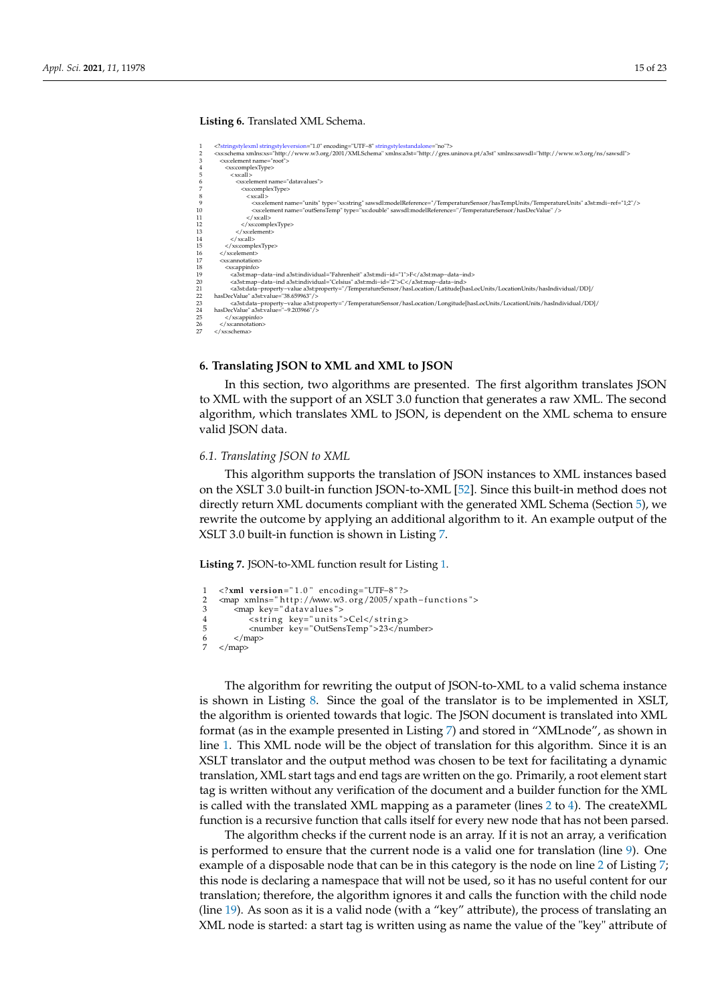## **Listing 6.** Translated XML Schema.

<span id="page-14-1"></span>

#### <span id="page-14-0"></span>**6. Translating JSON to XML and XML to JSON**

In this section, two algorithms are presented. The first algorithm translates JSON to XML with the support of an XSLT 3.0 function that generates a raw XML. The second algorithm, which translates XML to JSON, is dependent on the XML schema to ensure valid JSON data.

## <span id="page-14-4"></span>*6.1. Translating JSON to XML*

This algorithm supports the translation of JSON instances to XML instances based on the XSLT 3.0 built-in function JSON-to-XML [\[52\]](#page-22-10). Since this built-in method does not directly return XML documents compliant with the generated XML Schema (Section [5\)](#page-10-0), we rewrite the outcome by applying an additional algorithm to it. An example output of the XSLT 3.0 built-in function is shown in Listing [7.](#page-14-2)

**Listing 7.** JSON-to-XML function result for Listing [1.](#page-6-1)

```
1 <?xml version="1.0" encoding="UTF-8"?><br>2 <map xmlns="http://www.w3.org/2005/xpa
2 <map xmlns= " http://www.w3.org/2005/ xpath − functions "><br>3 <map key= " datavalues ">
3 <map key="datavalues"><br>4 <string key="units"
4<br>
\frac{1}{2} < string key=" units ">Cel</string><br>
snumber key=" OutSensTemp" >23</nu
5 </map> 5 </map> \frac{1}{2} </map> \frac{23}{2} </map>
          6 </map>
     \langle map>
```
The algorithm for rewriting the output of JSON-to-XML to a valid schema instance is shown in Listing [8.](#page-15-0) Since the goal of the translator is to be implemented in XSLT, the algorithm is oriented towards that logic. The JSON document is translated into XML format (as in the example presented in Listing [7\)](#page-14-2) and stored in "XMLnode", as shown in line [1.](#page-15-1) This XML node will be the object of translation for this algorithm. Since it is an XSLT translator and the output method was chosen to be text for facilitating a dynamic translation, XML start tags and end tags are written on the go. Primarily, a root element start tag is written without any verification of the document and a builder function for the XML is called with the translated XML mapping as a parameter (lines [2](#page-15-2) to [4\)](#page-15-3). The createXML function is a recursive function that calls itself for every new node that has not been parsed.

The algorithm checks if the current node is an array. If it is not an array, a verification is performed to ensure that the current node is a valid one for translation (line [9\)](#page-15-4). One example of a disposable node that can be in this category is the node on line [2](#page-14-3) of Listing [7;](#page-14-2) this node is declaring a namespace that will not be used, so it has no useful content for our translation; therefore, the algorithm ignores it and calls the function with the child node (line [19\)](#page-15-5). As soon as it is a valid node (with a "key" attribute), the process of translating an XML node is started: a start tag is written using as name the value of the "key" attribute of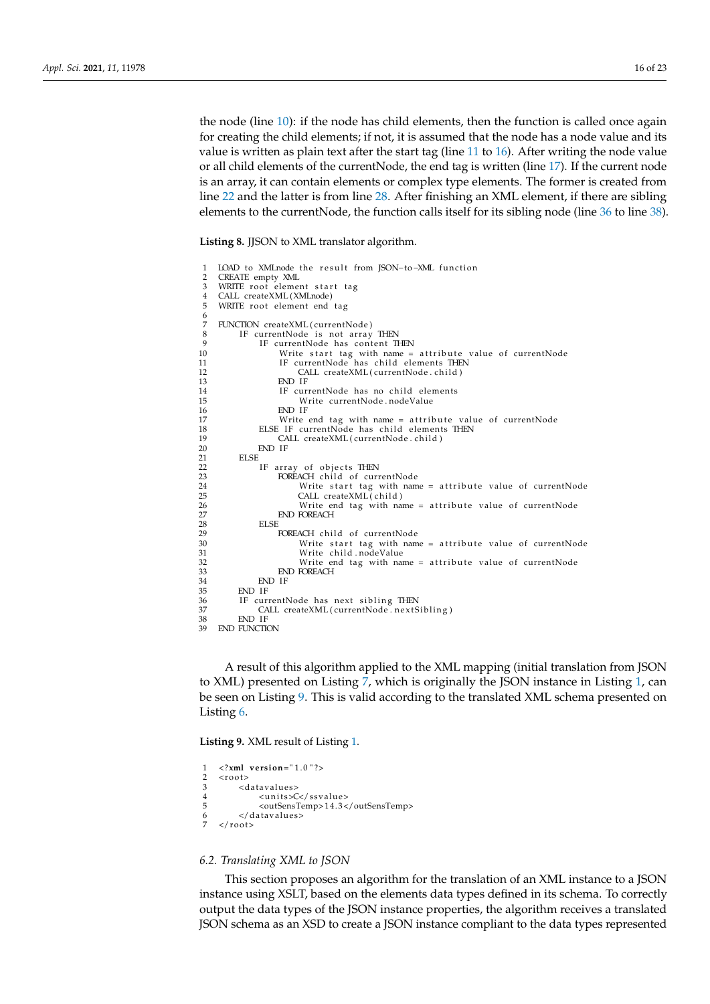the node (line [10\)](#page-15-6): if the node has child elements, then the function is called once again for creating the child elements; if not, it is assumed that the node has a node value and its value is written as plain text after the start tag (line [11](#page-15-7) to [16\)](#page-15-8). After writing the node value or all child elements of the currentNode, the end tag is written (line [17\)](#page-15-9). If the current node is an array, it can contain elements or complex type elements. The former is created from line [22](#page-15-10) and the latter is from line [28.](#page-15-11) After finishing an XML element, if there are sibling elements to the currentNode, the function calls itself for its sibling node (line [36](#page-15-12) to line [38\)](#page-15-13).

**Listing 8.** JJSON to XML translator algorithm.

<span id="page-15-10"></span><span id="page-15-9"></span><span id="page-15-8"></span><span id="page-15-7"></span><span id="page-15-6"></span><span id="page-15-5"></span><span id="page-15-4"></span><span id="page-15-3"></span><span id="page-15-2"></span><span id="page-15-1"></span><span id="page-15-0"></span>

| 1              | LOAD to XMLnode the result from JSON-to-XML function       |
|----------------|------------------------------------------------------------|
| $\overline{2}$ | CREATE empty XML                                           |
| 3              | WRITE root element start tag                               |
| 4              | CALL createXML(XMLnode)                                    |
| 5              | WRITE root element end tag                                 |
| 6              |                                                            |
| 7              | FUNCTION createXML(currentNode)                            |
| 8              | IF currentNode is not array THEN                           |
| 9              | IF currentNode has content THEN                            |
| 10             | Write start tag with name = attribute value of currentNode |
| 11             | IF currentNode has child elements THEN                     |
| 12             | CALL createXML(currentNode.child)                          |
| 13             | END IF                                                     |
| 14             | IF currentNode has no child elements                       |
| 15             | Write currentNode.nodeValue                                |
| 16             | END IF                                                     |
| 17             | Write end tag with name = attribute value of currentNode   |
| 18             | ELSE IF currentNode has child elements THEN                |
| 19             | CALL createXML(currentNode.child)                          |
| 20             | END IF                                                     |
| 21             | ELSE.                                                      |
| 22             | IF array of objects THEN                                   |
| 23             | FOREACH child of currentNode                               |
| 24             | Write start tag with name = attribute value of currentNode |
| 25             | CALL createXML(child)                                      |
| 26             | Write end tag with name = attribute value of currentNode   |
| 27             | <b>END FOREACH</b>                                         |
| 28             | ELSE.                                                      |
| 29             | FOREACH child of currentNode                               |
| 30             | Write start tag with name = attribute value of currentNode |
| 31             | Write child.nodeValue                                      |
| 32             | Write end tag with name = attribute value of currentNode   |
| 33             | <b>END FOREACH</b>                                         |
| 34             | END IF                                                     |
| 35             | END IF                                                     |
| 36             | IF currentNode has next sibling THEN                       |
| 37             | CALL createXML(currentNode.nextSibling)                    |
| 38             | END IF                                                     |
| 39             | <b>END FUNCTION</b>                                        |

<span id="page-15-13"></span><span id="page-15-12"></span><span id="page-15-11"></span>A result of this algorithm applied to the XML mapping (initial translation from JSON to XML) presented on Listing [7,](#page-14-2) which is originally the JSON instance in Listing [1,](#page-6-1) can be seen on Listing [9.](#page-15-14) This is valid according to the translated XML schema presented on Listing [6.](#page-14-1)

**Listing 9.** XML result of Listing [1.](#page-6-1)

```
1 <?xml version="1.0"?>
2 < r \cdot \text{cost} ><br>3 < cd
3 <datavalues><br>4 <units>
4 <units>C</ssvalue><br>5 <outSensTemp>14.3<
5 <outSensTemp>14.3</outSensTemp>6 </datavalues>
\frac{6}{7} </datavalues>
    \langle root\rangle
```
## <span id="page-15-15"></span>*6.2. Translating XML to JSON*

This section proposes an algorithm for the translation of an XML instance to a JSON instance using XSLT, based on the elements data types defined in its schema. To correctly output the data types of the JSON instance properties, the algorithm receives a translated JSON schema as an XSD to create a JSON instance compliant to the data types represented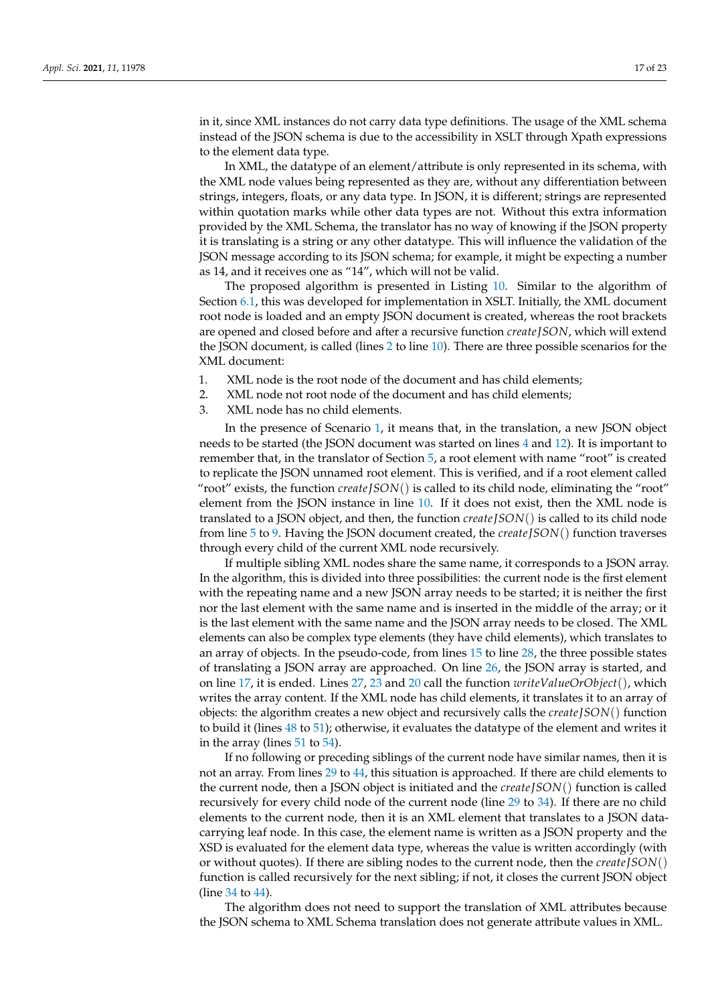in it, since XML instances do not carry data type definitions. The usage of the XML schema instead of the JSON schema is due to the accessibility in XSLT through Xpath expressions to the element data type.

In XML, the datatype of an element/attribute is only represented in its schema, with the XML node values being represented as they are, without any differentiation between strings, integers, floats, or any data type. In JSON, it is different; strings are represented within quotation marks while other data types are not. Without this extra information provided by the XML Schema, the translator has no way of knowing if the JSON property it is translating is a string or any other datatype. This will influence the validation of the JSON message according to its JSON schema; for example, it might be expecting a number as 14, and it receives one as "14", which will not be valid.

The proposed algorithm is presented in Listing [10.](#page-17-1) Similar to the algorithm of Section [6.1,](#page-14-4) this was developed for implementation in XSLT. Initially, the XML document root node is loaded and an empty JSON document is created, whereas the root brackets are opened and closed before and after a recursive function *create JSON*, which will extend the JSON document, is called (lines [2](#page-17-2) to line [10\)](#page-17-3). There are three possible scenarios for the XML document:

- <span id="page-16-0"></span>1. XML node is the root node of the document and has child elements;
- 2. XML node not root node of the document and has child elements;
- 3. XML node has no child elements.

In the presence of Scenario [1,](#page-16-0) it means that, in the translation, a new JSON object needs to be started (the JSON document was started on lines [4](#page-17-4) and [12\)](#page-17-5). It is important to remember that, in the translator of Section [5,](#page-10-0) a root element with name "root" is created to replicate the JSON unnamed root element. This is verified, and if a root element called "root" exists, the function *create JSON*() is called to its child node, eliminating the "root" element from the JSON instance in line [10.](#page-17-3) If it does not exist, then the XML node is translated to a JSON object, and then, the function *create JSON*() is called to its child node from line [5](#page-17-6) to [9.](#page-17-7) Having the JSON document created, the *create JSON*() function traverses through every child of the current XML node recursively.

If multiple sibling XML nodes share the same name, it corresponds to a JSON array. In the algorithm, this is divided into three possibilities: the current node is the first element with the repeating name and a new JSON array needs to be started; it is neither the first nor the last element with the same name and is inserted in the middle of the array; or it is the last element with the same name and the JSON array needs to be closed. The XML elements can also be complex type elements (they have child elements), which translates to an array of objects. In the pseudo-code, from lines [15](#page-17-8) to line [28,](#page-17-9) the three possible states of translating a JSON array are approached. On line [26,](#page-17-10) the JSON array is started, and on line [17,](#page-17-11) it is ended. Lines [27,](#page-17-12) [23](#page-17-13) and [20](#page-17-14) call the function *writeValueOrObject*(), which writes the array content. If the XML node has child elements, it translates it to an array of objects: the algorithm creates a new object and recursively calls the *create JSON*() function to build it (lines [48](#page-17-15) to [51\)](#page-17-16); otherwise, it evaluates the datatype of the element and writes it in the array (lines [51](#page-17-16) to [54\)](#page-17-17).

If no following or preceding siblings of the current node have similar names, then it is not an array. From lines [29](#page-17-18) to [44,](#page-17-19) this situation is approached. If there are child elements to the current node, then a JSON object is initiated and the *create JSON*() function is called recursively for every child node of the current node (line [29](#page-17-18) to [34\)](#page-17-20). If there are no child elements to the current node, then it is an XML element that translates to a JSON datacarrying leaf node. In this case, the element name is written as a JSON property and the XSD is evaluated for the element data type, whereas the value is written accordingly (with or without quotes). If there are sibling nodes to the current node, then the *create JSON*() function is called recursively for the next sibling; if not, it closes the current JSON object (line [34](#page-17-20) to [44\)](#page-17-19).

The algorithm does not need to support the translation of XML attributes because the JSON schema to XML Schema translation does not generate attribute values in XML.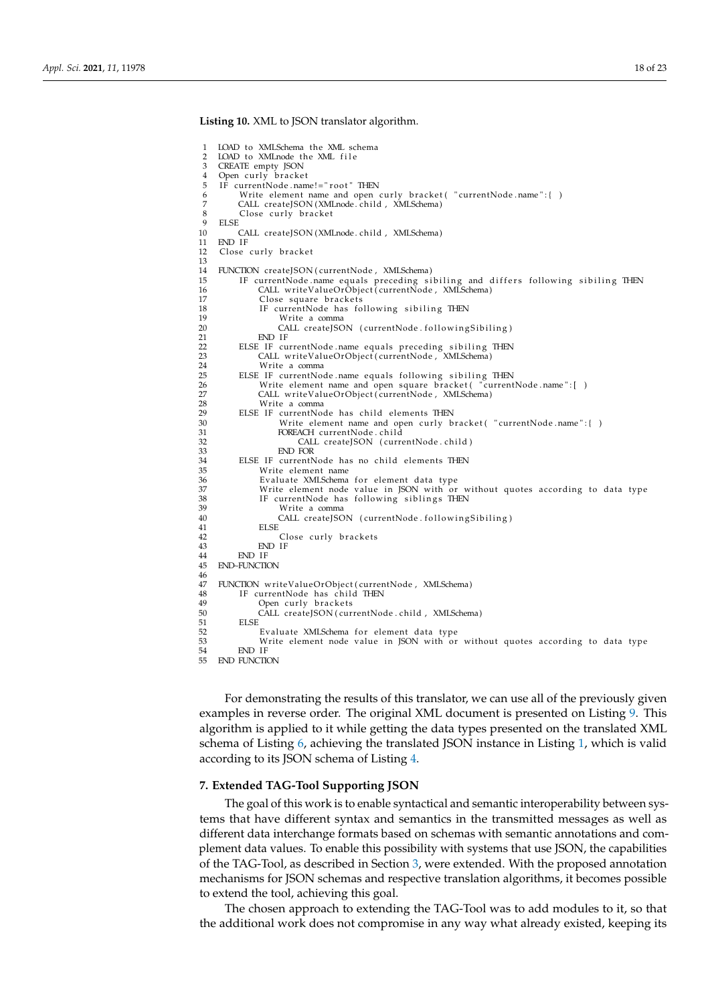<span id="page-17-18"></span><span id="page-17-14"></span><span id="page-17-13"></span><span id="page-17-12"></span><span id="page-17-11"></span><span id="page-17-10"></span><span id="page-17-9"></span><span id="page-17-8"></span><span id="page-17-7"></span><span id="page-17-6"></span><span id="page-17-5"></span><span id="page-17-4"></span><span id="page-17-3"></span><span id="page-17-2"></span><span id="page-17-1"></span>1 LOAD to XMLSchema the XML schema<br>2 LOAD to XML pode the XML file 2 LOAD to XMLnode the XML file<br>3 CREATE empty ISON CREATE empty JSON 4 Open curly bracket<br>5 IF currentNode.name!="root" THEN 6 Write element name and open curly bracket ( "currentNode name": { )<br>7 CALL createISON (XMLnode child . XMLSchema) 7 CALL createJSON (XMLnode .child , XMLSchema)<br>8 Close curly bracket  $8 \nClose curly bracket$ 9 ELSE 10 CALL createJSON (XMLnode. child , XMLSchema) END IF 12 Close curly bracket 13 14 FUNCTION createJSON (currentNode, XMLSchema)<br>15 IF currentNode name equals preceding si 15 IF currentNode name equals preceding sibiling and differs following sibiling THEN<br>16 CALL writeValueOrObject(currentNode , XMLSchema) 17 Close square brackets 18 IF currentNode has following sibiling THEN<br>19 Write a comma 19 Write a comma<br>20 CALL createJSO 20 CALL createJSON (currentNode . following Sibiling)<br>21 END IE 21 END IF 22 ELSE IF currentNode name equals preceding sibiling THEN<br>23 CAU writeValueOrObiect(currentNode XMISchema) 23 CALL writeValueOrObject ( currentNode , XMLSchema )<br>24 Write a comma 24 Write a comma<br>25 ELSE IF currentNo 25 ELSE IF currentNode name equals following sibiling THEN 26 Write element name and open square bracket ("current 26 Write element name and open square bracket ("currentNode name": [ )<br>27 CAH writeValueOrObject (currentNode XMI Schema) 27 CALL writeValueOrObject (currentNode, XMLSchema)<br>28 Write a comma 28 Write a comma<br>29 ELSE IF currentNo 29 ELSE IF currentNode has child elements THEN<br>30 Write element name and open curly b 30 Wri te elemen t name and open cu rl y b r a c ke t ( " currentNode . name " : { ) 31 FOREACH currentNode . c hil d 32 CALL createJSON (currentNode . child)<br>33 END FOR 33<br>34 ELSE IF currentN 34 ELSE IF currentNode has no child elements THEN 35 Write element name<br>36 Evaluate XMI Schema 36 Evaluate XMLSchema for element data type<br>37 Write element node value in JSON with or 37 Wri te elemen t node value in JSON with or wi thou t quo tes acco rding to da ta type 38 IF currentNode has f oll owin g s i b l i n g s THEN 39 Write a comma<br>40 CALL createISC 40 CALL createJSON (currentNode . following Sibiling)<br>41 FISE 41 ELSE 42 Close curly brackets<br>43 END IE  $\begin{array}{cc}\n 43 \\
 44\n \end{array}$  END IF 44 END IF 45 END~FUNCTION  $\frac{46}{47}$ 47 FUNCTION writeValueOrObject(currentNode, XMLSchema)<br>48 IF currentNode has child THEN 48 IF currentNode has child THEN<br>49 Open curly brackets 49 Open curly brackets<br>50 CALL createJSON(cur 50 CALL createJSON ( currentNode . child , XMLSchema ) 51 ELSE 52 Evaluate XMLSchema for element data type<br>53 Write element node value in ISON with or 53 Write element node value in JSON with or without quotes according to data type<br>54 FND IF  $\frac{54}{55}$  END IF END FUNCTION

<span id="page-17-20"></span><span id="page-17-19"></span><span id="page-17-17"></span><span id="page-17-16"></span><span id="page-17-15"></span>For demonstrating the results of this translator, we can use all of the previously given examples in reverse order. The original XML document is presented on Listing [9.](#page-15-14) This algorithm is applied to it while getting the data types presented on the translated XML schema of Listing [6,](#page-14-1) achieving the translated JSON instance in Listing [1,](#page-6-1) which is valid according to its JSON schema of Listing [4.](#page-10-1)

## <span id="page-17-0"></span>**7. Extended TAG-Tool Supporting JSON**

**Listing 10.** XML to JSON translator algorithm.

The goal of this work is to enable syntactical and semantic interoperability between systems that have different syntax and semantics in the transmitted messages as well as different data interchange formats based on schemas with semantic annotations and complement data values. To enable this possibility with systems that use JSON, the capabilities of the TAG-Tool, as described in Section [3,](#page-4-0) were extended. With the proposed annotation mechanisms for JSON schemas and respective translation algorithms, it becomes possible to extend the tool, achieving this goal.

The chosen approach to extending the TAG-Tool was to add modules to it, so that the additional work does not compromise in any way what already existed, keeping its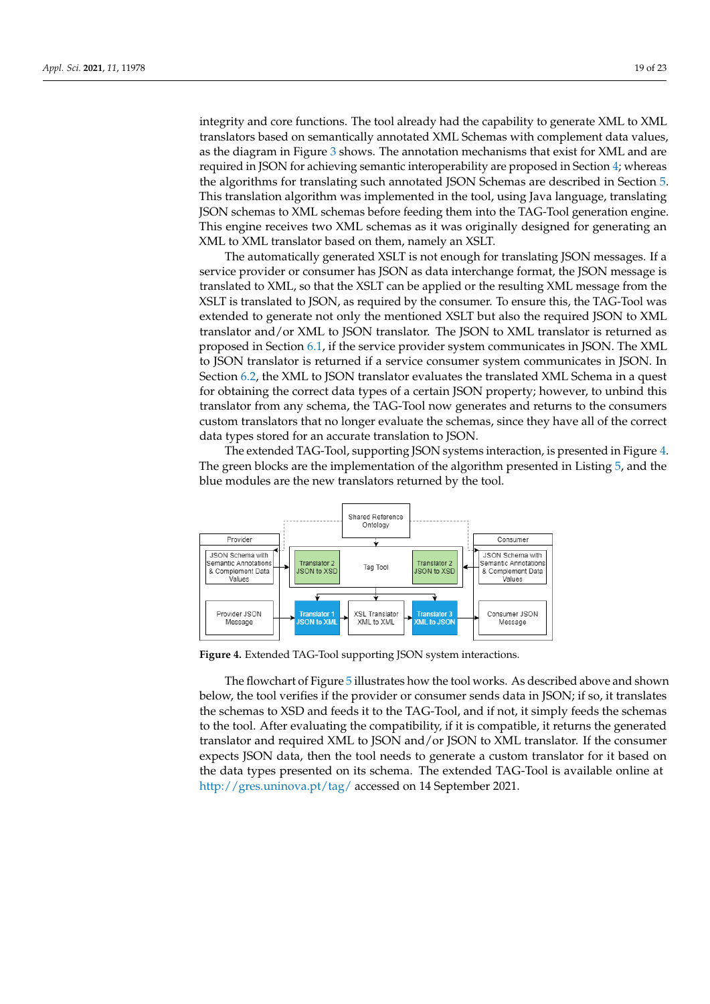integrity and core functions. The tool already had the capability to generate XML to XML translators based on semantically annotated XML Schemas with complement data values, as the diagram in Figure [3](#page-5-1) shows. The annotation mechanisms that exist for XML and are required in JSON for achieving semantic interoperability are proposed in Section [4;](#page-6-0) whereas the algorithms for translating such annotated JSON Schemas are described in Section [5.](#page-10-0) This translation algorithm was implemented in the tool, using Java language, translating JSON schemas to XML schemas before feeding them into the TAG-Tool generation engine. This engine receives two XML schemas as it was originally designed for generating an XML to XML translator based on them, namely an XSLT.

The automatically generated XSLT is not enough for translating JSON messages. If a service provider or consumer has JSON as data interchange format, the JSON message is translated to XML, so that the XSLT can be applied or the resulting XML message from the XSLT is translated to JSON, as required by the consumer. To ensure this, the TAG-Tool was extended to generate not only the mentioned XSLT but also the required JSON to XML translator and/or XML to JSON translator. The JSON to XML translator is returned as proposed in Section [6.1,](#page-14-4) if the service provider system communicates in JSON. The XML to JSON translator is returned if a service consumer system communicates in JSON. In Section [6.2,](#page-15-15) the XML to JSON translator evaluates the translated XML Schema in a quest for obtaining the correct data types of a certain JSON property; however, to unbind this translator from any schema, the TAG-Tool now generates and returns to the consumers custom translators that no longer evaluate the schemas, since they have all of the correct data types stored for an accurate translation to JSON.

The extended TAG-Tool, supporting JSON systems interaction, is presented in Figure [4.](#page-18-0) The green blocks are the implementation of the algorithm presented in Listing [5,](#page-13-0) and the blue modules are the new translators returned by the tool.

<span id="page-18-0"></span>

**Figure 4.** Extended TAG-Tool supporting JSON system interactions.

The flowchart of Figure [5](#page-19-1) illustrates how the tool works. As described above and shown below, the tool verifies if the provider or consumer sends data in JSON; if so, it translates the schemas to XSD and feeds it to the TAG-Tool, and if not, it simply feeds the schemas to the tool. After evaluating the compatibility, if it is compatible, it returns the generated translator and required XML to JSON and/or JSON to XML translator. If the consumer expects JSON data, then the tool needs to generate a custom translator for it based on the data types presented on its schema. The extended TAG-Tool is available online at <http://gres.uninova.pt/tag/> accessed on 14 September 2021.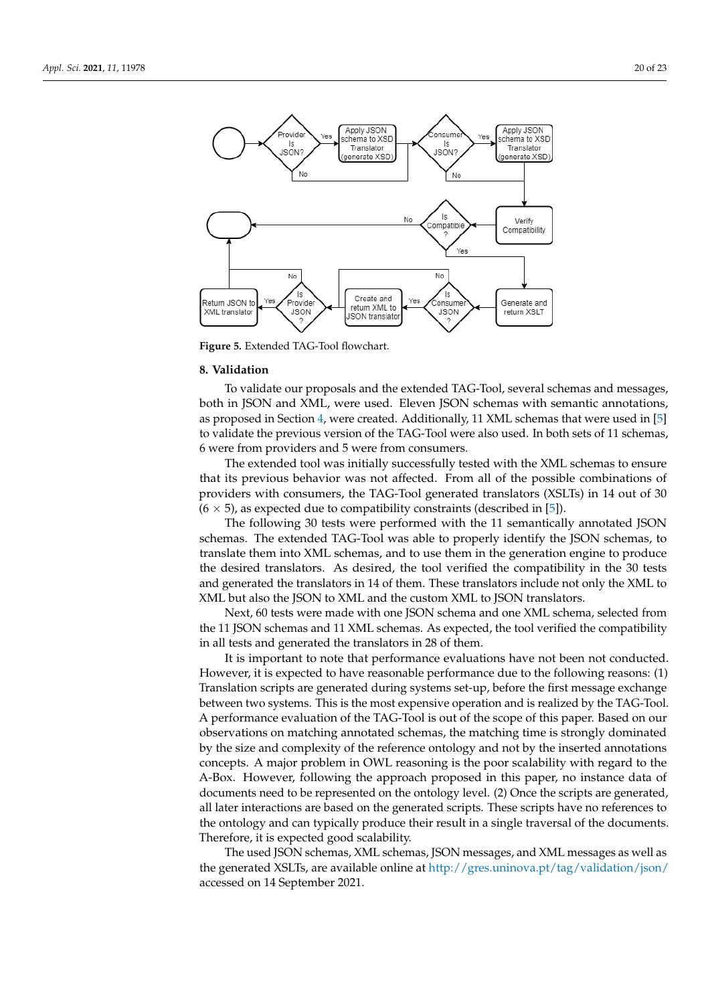<span id="page-19-1"></span>

**Figure 5.** Extended TAG-Tool flowchart.

#### <span id="page-19-0"></span>**8. Validation**

To validate our proposals and the extended TAG-Tool, several schemas and messages, both in JSON and XML, were used. Eleven JSON schemas with semantic annotations, as proposed in Section [4,](#page-6-0) were created. Additionally, 11 XML schemas that were used in [\[5\]](#page-20-4) to validate the previous version of the TAG-Tool were also used. In both sets of 11 schemas, 6 were from providers and 5 were from consumers.

The extended tool was initially successfully tested with the XML schemas to ensure that its previous behavior was not affected. From all of the possible combinations of providers with consumers, the TAG-Tool generated translators (XSLTs) in 14 out of 30  $(6 \times 5)$ , as expected due to compatibility constraints (described in [\[5\]](#page-20-4)).

The following 30 tests were performed with the 11 semantically annotated JSON schemas. The extended TAG-Tool was able to properly identify the JSON schemas, to translate them into XML schemas, and to use them in the generation engine to produce the desired translators. As desired, the tool verified the compatibility in the 30 tests and generated the translators in 14 of them. These translators include not only the XML to XML but also the JSON to XML and the custom XML to JSON translators.

Next, 60 tests were made with one JSON schema and one XML schema, selected from the 11 JSON schemas and 11 XML schemas. As expected, the tool verified the compatibility in all tests and generated the translators in 28 of them.

It is important to note that performance evaluations have not been not conducted. However, it is expected to have reasonable performance due to the following reasons: (1) Translation scripts are generated during systems set-up, before the first message exchange between two systems. This is the most expensive operation and is realized by the TAG-Tool. A performance evaluation of the TAG-Tool is out of the scope of this paper. Based on our observations on matching annotated schemas, the matching time is strongly dominated by the size and complexity of the reference ontology and not by the inserted annotations concepts. A major problem in OWL reasoning is the poor scalability with regard to the A-Box. However, following the approach proposed in this paper, no instance data of documents need to be represented on the ontology level. (2) Once the scripts are generated, all later interactions are based on the generated scripts. These scripts have no references to the ontology and can typically produce their result in a single traversal of the documents. Therefore, it is expected good scalability.

The used JSON schemas, XML schemas, JSON messages, and XML messages as well as the generated XSLTs, are available online at <http://gres.uninova.pt/tag/validation/json/> accessed on 14 September 2021.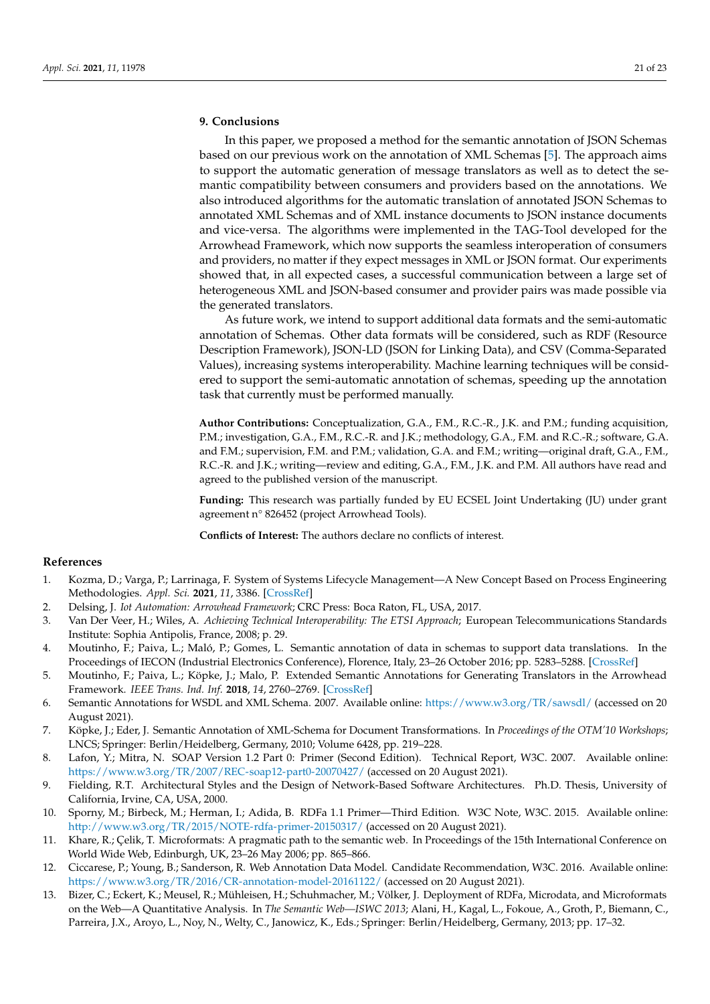# <span id="page-20-7"></span>**9. Conclusions**

In this paper, we proposed a method for the semantic annotation of JSON Schemas based on our previous work on the annotation of XML Schemas [\[5\]](#page-20-4). The approach aims to support the automatic generation of message translators as well as to detect the semantic compatibility between consumers and providers based on the annotations. We also introduced algorithms for the automatic translation of annotated JSON Schemas to annotated XML Schemas and of XML instance documents to JSON instance documents and vice-versa. The algorithms were implemented in the TAG-Tool developed for the Arrowhead Framework, which now supports the seamless interoperation of consumers and providers, no matter if they expect messages in XML or JSON format. Our experiments showed that, in all expected cases, a successful communication between a large set of heterogeneous XML and JSON-based consumer and provider pairs was made possible via the generated translators.

As future work, we intend to support additional data formats and the semi-automatic annotation of Schemas. Other data formats will be considered, such as RDF (Resource Description Framework), JSON-LD (JSON for Linking Data), and CSV (Comma-Separated Values), increasing systems interoperability. Machine learning techniques will be considered to support the semi-automatic annotation of schemas, speeding up the annotation task that currently must be performed manually.

**Author Contributions:** Conceptualization, G.A., F.M., R.C.-R., J.K. and P.M.; funding acquisition, P.M.; investigation, G.A., F.M., R.C.-R. and J.K.; methodology, G.A., F.M. and R.C.-R.; software, G.A. and F.M.; supervision, F.M. and P.M.; validation, G.A. and F.M.; writing—original draft, G.A., F.M., R.C.-R. and J.K.; writing—review and editing, G.A., F.M., J.K. and P.M. All authors have read and agreed to the published version of the manuscript.

**Funding:** This research was partially funded by EU ECSEL Joint Undertaking (JU) under grant agreement n° 826452 (project Arrowhead Tools).

**Conflicts of Interest:** The authors declare no conflicts of interest.

## **References**

- <span id="page-20-0"></span>1. Kozma, D.; Varga, P.; Larrinaga, F. System of Systems Lifecycle Management—A New Concept Based on Process Engineering Methodologies. *Appl. Sci.* **2021**, *11*, 3386. [\[CrossRef\]](http://doi.org/10.3390/app11083386)
- <span id="page-20-1"></span>2. Delsing, J. *Iot Automation: Arrowhead Framework*; CRC Press: Boca Raton, FL, USA, 2017.
- <span id="page-20-2"></span>3. Van Der Veer, H.; Wiles, A. *Achieving Technical Interoperability: The ETSI Approach*; European Telecommunications Standards Institute: Sophia Antipolis, France, 2008; p. 29.
- <span id="page-20-3"></span>4. Moutinho, F.; Paiva, L.; Maló, P.; Gomes, L. Semantic annotation of data in schemas to support data translations. In the Proceedings of IECON (Industrial Electronics Conference), Florence, Italy, 23–26 October 2016; pp. 5283–5288. [\[CrossRef\]](http://dx.doi.org/10.1109/IECON.2016.7793691)
- <span id="page-20-4"></span>5. Moutinho, F.; Paiva, L.; Köpke, J.; Malo, P. Extended Semantic Annotations for Generating Translators in the Arrowhead Framework. *IEEE Trans. Ind. Inf.* **2018**, *14*, 2760–2769. [\[CrossRef\]](http://dx.doi.org/10.1109/TII.2017.2780887)
- <span id="page-20-5"></span>6. Semantic Annotations for WSDL and XML Schema. 2007. Available online: <https://www.w3.org/TR/sawsdl/> (accessed on 20 August 2021).
- <span id="page-20-6"></span>7. Köpke, J.; Eder, J. Semantic Annotation of XML-Schema for Document Transformations. In *Proceedings of the OTM'10 Workshops*; LNCS; Springer: Berlin/Heidelberg, Germany, 2010; Volume 6428, pp. 219–228.
- <span id="page-20-8"></span>8. Lafon, Y.; Mitra, N. SOAP Version 1.2 Part 0: Primer (Second Edition). Technical Report, W3C. 2007. Available online: <https://www.w3.org/TR/2007/REC-soap12-part0-20070427/> (accessed on 20 August 2021).
- <span id="page-20-9"></span>9. Fielding, R.T. Architectural Styles and the Design of Network-Based Software Architectures. Ph.D. Thesis, University of California, Irvine, CA, USA, 2000.
- <span id="page-20-10"></span>10. Sporny, M.; Birbeck, M.; Herman, I.; Adida, B. RDFa 1.1 Primer—Third Edition. W3C Note, W3C. 2015. Available online: <http://www.w3.org/TR/2015/NOTE-rdfa-primer-20150317/> (accessed on 20 August 2021).
- 11. Khare, R.; Çelik, T. Microformats: A pragmatic path to the semantic web. In Proceedings of the 15th International Conference on World Wide Web, Edinburgh, UK, 23–26 May 2006; pp. 865–866.
- 12. Ciccarese, P.; Young, B.; Sanderson, R. Web Annotation Data Model. Candidate Recommendation, W3C. 2016. Available online: <https://www.w3.org/TR/2016/CR-annotation-model-20161122/> (accessed on 20 August 2021).
- <span id="page-20-11"></span>13. Bizer, C.; Eckert, K.; Meusel, R.; Mühleisen, H.; Schuhmacher, M.; Völker, J. Deployment of RDFa, Microdata, and Microformats on the Web—A Quantitative Analysis. In *The Semantic Web—ISWC 2013*; Alani, H., Kagal, L., Fokoue, A., Groth, P., Biemann, C., Parreira, J.X., Aroyo, L., Noy, N., Welty, C., Janowicz, K., Eds.; Springer: Berlin/Heidelberg, Germany, 2013; pp. 17–32.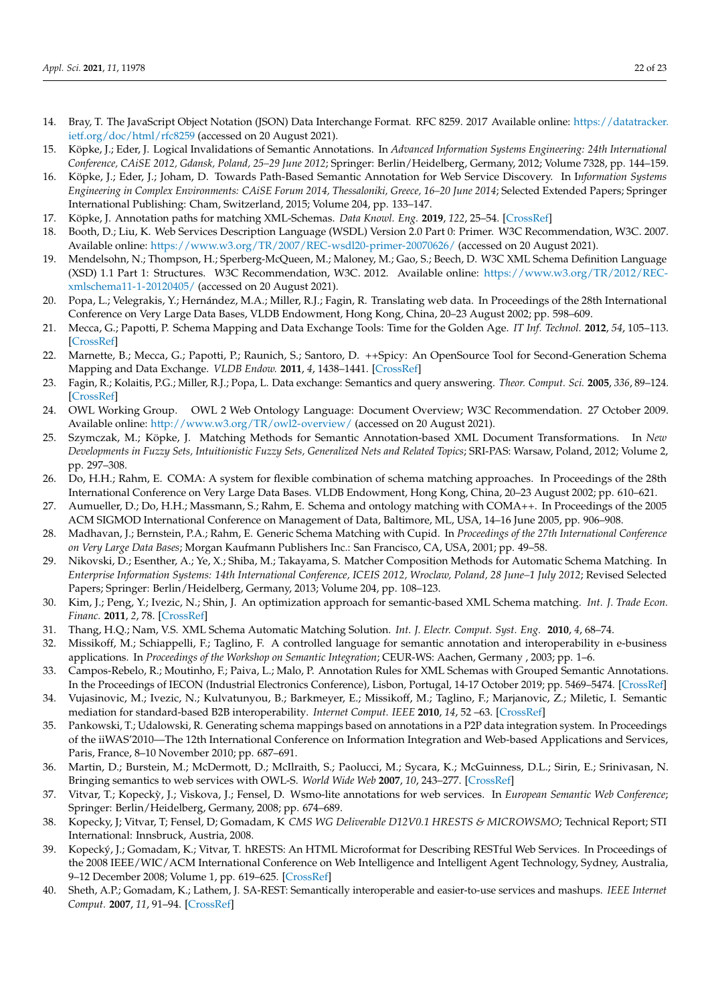- <span id="page-21-0"></span>14. Bray, T. The JavaScript Object Notation (JSON) Data Interchange Format. RFC 8259. 2017 Available online: [https://datatracker.](https://datatracker.ietf.org/doc/html/rfc8259) [ietf.org/doc/html/rfc8259](https://datatracker.ietf.org/doc/html/rfc8259) (accessed on 20 August 2021).
- <span id="page-21-1"></span>15. Köpke, J.; Eder, J. Logical Invalidations of Semantic Annotations. In *Advanced Information Systems Engineering: 24th International Conference, CAiSE 2012, Gdansk, Poland, 25–29 June 2012*; Springer: Berlin/Heidelberg, Germany, 2012; Volume 7328, pp. 144–159.
- 16. Köpke, J.; Eder, J.; Joham, D. Towards Path-Based Semantic Annotation for Web Service Discovery. In I*nformation Systems Engineering in Complex Environments: CAiSE Forum 2014, Thessaloniki, Greece, 16–20 June 2014*; Selected Extended Papers; Springer International Publishing: Cham, Switzerland, 2015; Volume 204, pp. 133–147.
- <span id="page-21-2"></span>17. Köpke, J. Annotation paths for matching XML-Schemas. *Data Knowl. Eng.* **2019**, *122*, 25–54. [\[CrossRef\]](http://dx.doi.org/10.1016/j.datak.2017.12.002)
- <span id="page-21-3"></span>18. Booth, D.; Liu, K. Web Services Description Language (WSDL) Version 2.0 Part 0: Primer. W3C Recommendation, W3C. 2007. Available online: <https://www.w3.org/TR/2007/REC-wsdl20-primer-20070626/> (accessed on 20 August 2021).
- <span id="page-21-4"></span>19. Mendelsohn, N.; Thompson, H.; Sperberg-McQueen, M.; Maloney, M.; Gao, S.; Beech, D. W3C XML Schema Definition Language (XSD) 1.1 Part 1: Structures. W3C Recommendation, W3C. 2012. Available online: [https://www.w3.org/TR/2012/REC](https://www.w3.org/TR/2012/REC-xmlschema11-1-20120405/)[xmlschema11-1-20120405/](https://www.w3.org/TR/2012/REC-xmlschema11-1-20120405/) (accessed on 20 August 2021).
- <span id="page-21-5"></span>20. Popa, L.; Velegrakis, Y.; Hernández, M.A.; Miller, R.J.; Fagin, R. Translating web data. In Proceedings of the 28th International Conference on Very Large Data Bases, VLDB Endowment, Hong Kong, China, 20–23 August 2002; pp. 598–609.
- <span id="page-21-6"></span>21. Mecca, G.; Papotti, P. Schema Mapping and Data Exchange Tools: Time for the Golden Age. *IT Inf. Technol.* **2012**, *54*, 105–113. [\[CrossRef\]](http://dx.doi.org/10.1524/itit.2012.0670)
- <span id="page-21-7"></span>22. Marnette, B.; Mecca, G.; Papotti, P.; Raunich, S.; Santoro, D. ++Spicy: An OpenSource Tool for Second-Generation Schema Mapping and Data Exchange. *VLDB Endow.* **2011**, *4*, 1438–1441. [\[CrossRef\]](http://dx.doi.org/10.14778/3402755.3402790)
- <span id="page-21-8"></span>23. Fagin, R.; Kolaitis, P.G.; Miller, R.J.; Popa, L. Data exchange: Semantics and query answering. *Theor. Comput. Sci.* **2005**, *336*, 89–124. [\[CrossRef\]](http://dx.doi.org/10.1016/j.tcs.2004.10.033)
- <span id="page-21-9"></span>24. OWL Working Group. OWL 2 Web Ontology Language: Document Overview; W3C Recommendation. 27 October 2009. Available online: <http://www.w3.org/TR/owl2-overview/> (accessed on 20 August 2021).
- <span id="page-21-10"></span>25. Szymczak, M.; Köpke, J. Matching Methods for Semantic Annotation-based XML Document Transformations. In *New Developments in Fuzzy Sets, Intuitionistic Fuzzy Sets, Generalized Nets and Related Topics*; SRI-PAS: Warsaw, Poland, 2012; Volume 2, pp. 297–308.
- <span id="page-21-11"></span>26. Do, H.H.; Rahm, E. COMA: A system for flexible combination of schema matching approaches. In Proceedings of the 28th International Conference on Very Large Data Bases. VLDB Endowment, Hong Kong, China, 20–23 August 2002; pp. 610–621.
- 27. Aumueller, D.; Do, H.H.; Massmann, S.; Rahm, E. Schema and ontology matching with COMA++. In Proceedings of the 2005 ACM SIGMOD International Conference on Management of Data, Baltimore, ML, USA, 14–16 June 2005, pp. 906–908.
- 28. Madhavan, J.; Bernstein, P.A.; Rahm, E. Generic Schema Matching with Cupid. In *Proceedings of the 27th International Conference on Very Large Data Bases*; Morgan Kaufmann Publishers Inc.: San Francisco, CA, USA, 2001; pp. 49–58.
- 29. Nikovski, D.; Esenther, A.; Ye, X.; Shiba, M.; Takayama, S. Matcher Composition Methods for Automatic Schema Matching. In *Enterprise Information Systems: 14th International Conference, ICEIS 2012, Wroclaw, Poland, 28 June–1 July 2012*; Revised Selected Papers; Springer: Berlin/Heidelberg, Germany, 2013; Volume 204, pp. 108–123.
- 30. Kim, J.; Peng, Y.; Ivezic, N.; Shin, J. An optimization approach for semantic-based XML Schema matching. *Int. J. Trade Econ. Financ.* **2011**, *2*, 78. [\[CrossRef\]](http://dx.doi.org/10.7763/IJTEF.2011.V2.82)
- <span id="page-21-12"></span>31. Thang, H.Q.; Nam, V.S. XML Schema Automatic Matching Solution. *Int. J. Electr. Comput. Syst. Eng.* **2010**, *4*, 68–74.
- <span id="page-21-13"></span>32. Missikoff, M.; Schiappelli, F.; Taglino, F. A controlled language for semantic annotation and interoperability in e-business applications. In *Proceedings of the Workshop on Semantic Integration*; CEUR-WS: Aachen, Germany , 2003; pp. 1–6.
- <span id="page-21-14"></span>33. Campos-Rebelo, R.; Moutinho, F.; Paiva, L.; Malo, P. Annotation Rules for XML Schemas with Grouped Semantic Annotations. In the Proceedings of IECON (Industrial Electronics Conference), Lisbon, Portugal, 14-17 October 2019; pp. 5469–5474. [\[CrossRef\]](http://dx.doi.org/10.1109/IECON.2019.8927005)
- <span id="page-21-15"></span>34. Vujasinovic, M.; Ivezic, N.; Kulvatunyou, B.; Barkmeyer, E.; Missikoff, M.; Taglino, F.; Marjanovic, Z.; Miletic, I. Semantic mediation for standard-based B2B interoperability. *Internet Comput. IEEE* **2010**, *14*, 52 –63. [\[CrossRef\]](http://dx.doi.org/10.1109/MIC.2010.17)
- <span id="page-21-16"></span>35. Pankowski, T.; Udalowski, R. Generating schema mappings based on annotations in a P2P data integration system. In Proceedings of the iiWAS'2010—The 12th International Conference on Information Integration and Web-based Applications and Services, Paris, France, 8–10 November 2010; pp. 687–691.
- <span id="page-21-17"></span>36. Martin, D.; Burstein, M.; McDermott, D.; McIlraith, S.; Paolucci, M.; Sycara, K.; McGuinness, D.L.; Sirin, E.; Srinivasan, N. Bringing semantics to web services with OWL-S. *World Wide Web* **2007**, *10*, 243–277. [\[CrossRef\]](http://dx.doi.org/10.1007/s11280-007-0033-x)
- <span id="page-21-18"></span>37. Vitvar, T.; Kopecky, J.; Viskova, J.; Fensel, D. Wsmo-lite annotations for web services. In ` *European Semantic Web Conference*; Springer: Berlin/Heidelberg, Germany, 2008; pp. 674–689.
- <span id="page-21-19"></span>38. Kopecky, J; Vitvar, T; Fensel, D; Gomadam, K *CMS WG Deliverable D12V0.1 HRESTS & MICROWSMO*; Technical Report; STI International: Innsbruck, Austria, 2008.
- 39. Kopecký, J.; Gomadam, K.; Vitvar, T. hRESTS: An HTML Microformat for Describing RESTful Web Services. In Proceedings of the 2008 IEEE/WIC/ACM International Conference on Web Intelligence and Intelligent Agent Technology, Sydney, Australia, 9–12 December 2008; Volume 1, pp. 619–625. [\[CrossRef\]](http://dx.doi.org/10.1109/WIIAT.2008.379)
- 40. Sheth, A.P.; Gomadam, K.; Lathem, J. SA-REST: Semantically interoperable and easier-to-use services and mashups. *IEEE Internet Comput.* **2007**, *11*, 91–94. [\[CrossRef\]](http://dx.doi.org/10.1109/MIC.2007.133)